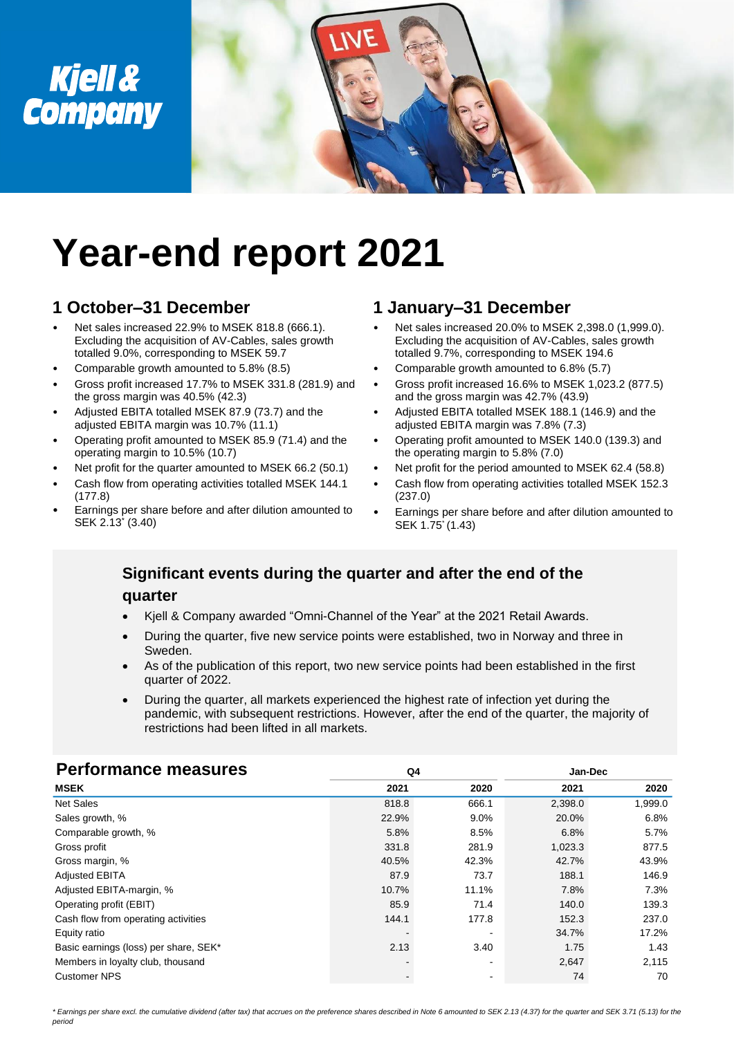

# **Year-end report 2021**

### **1 October–31 December**

- Net sales increased 22.9% to MSEK 818.8 (666.1). Excluding the acquisition of AV-Cables, sales growth totalled 9.0%, corresponding to MSEK 59.7
- Comparable growth amounted to 5.8% (8.5)
- Gross profit increased 17.7% to MSEK 331.8 (281.9) and the gross margin was 40.5% (42.3)
- Adjusted EBITA totalled MSEK 87.9 (73.7) and the adjusted EBITA margin was 10.7% (11.1)
- Operating profit amounted to MSEK 85.9 (71.4) and the operating margin to 10.5% (10.7)
- Net profit for the quarter amounted to MSEK 66.2 (50.1)
- Cash flow from operating activities totalled MSEK 144.1 (177.8)
- Earnings per share before and after dilution amounted to SEK 2.13\* (3.40)

## **1 January–31 December**

- Net sales increased 20.0% to MSEK 2,398.0 (1,999.0). Excluding the acquisition of AV-Cables, sales growth totalled 9.7%, corresponding to MSEK 194.6
- Comparable growth amounted to 6.8% (5.7)
- Gross profit increased 16.6% to MSEK 1,023.2 (877.5) and the gross margin was 42.7% (43.9)
- Adjusted EBITA totalled MSEK 188.1 (146.9) and the adjusted EBITA margin was 7.8% (7.3)
- Operating profit amounted to MSEK 140.0 (139.3) and the operating margin to 5.8% (7.0)
- Net profit for the period amounted to MSEK 62.4 (58.8)
- Cash flow from operating activities totalled MSEK 152.3 (237.0)
- Earnings per share before and after dilution amounted to SEK 1.75<sup>\*</sup> (1.43)

## **Significant events during the quarter and after the end of the quarter**

- Kjell & Company awarded "Omni-Channel of the Year" at the 2021 Retail Awards.
- During the quarter, five new service points were established, two in Norway and three in Sweden.
- As of the publication of this report, two new service points had been established in the first quarter of 2022.
- During the quarter, all markets experienced the highest rate of infection yet during the pandemic, with subsequent restrictions. However, after the end of the quarter, the majority of restrictions had been lifted in all markets.

| <b>Performance measures</b>           | Q4    |       | Jan-Dec |         |  |
|---------------------------------------|-------|-------|---------|---------|--|
| <b>MSEK</b>                           | 2021  | 2020  | 2021    | 2020    |  |
| <b>Net Sales</b>                      | 818.8 | 666.1 | 2,398.0 | 1,999.0 |  |
| Sales growth, %                       | 22.9% | 9.0%  | 20.0%   | 6.8%    |  |
| Comparable growth, %                  | 5.8%  | 8.5%  | 6.8%    | $5.7\%$ |  |
| Gross profit                          | 331.8 | 281.9 | 1,023.3 | 877.5   |  |
| Gross margin, %                       | 40.5% | 42.3% | 42.7%   | 43.9%   |  |
| <b>Adjusted EBITA</b>                 | 87.9  | 73.7  | 188.1   | 146.9   |  |
| Adjusted EBITA-margin, %              | 10.7% | 11.1% | 7.8%    | 7.3%    |  |
| Operating profit (EBIT)               | 85.9  | 71.4  | 140.0   | 139.3   |  |
| Cash flow from operating activities   | 144.1 | 177.8 | 152.3   | 237.0   |  |
| Equity ratio                          |       |       | 34.7%   | 17.2%   |  |
| Basic earnings (loss) per share, SEK* | 2.13  | 3.40  | 1.75    | 1.43    |  |
| Members in loyalty club, thousand     |       |       | 2,647   | 2,115   |  |
| <b>Customer NPS</b>                   |       |       | 74      | 70      |  |

*\* Earnings per share excl. the cumulative dividend (after tax) that accrues on the preference shares described in Note 6 amounted to SEK 2.13 (4.37) for the quarter and SEK 3.71 (5.13) for the period*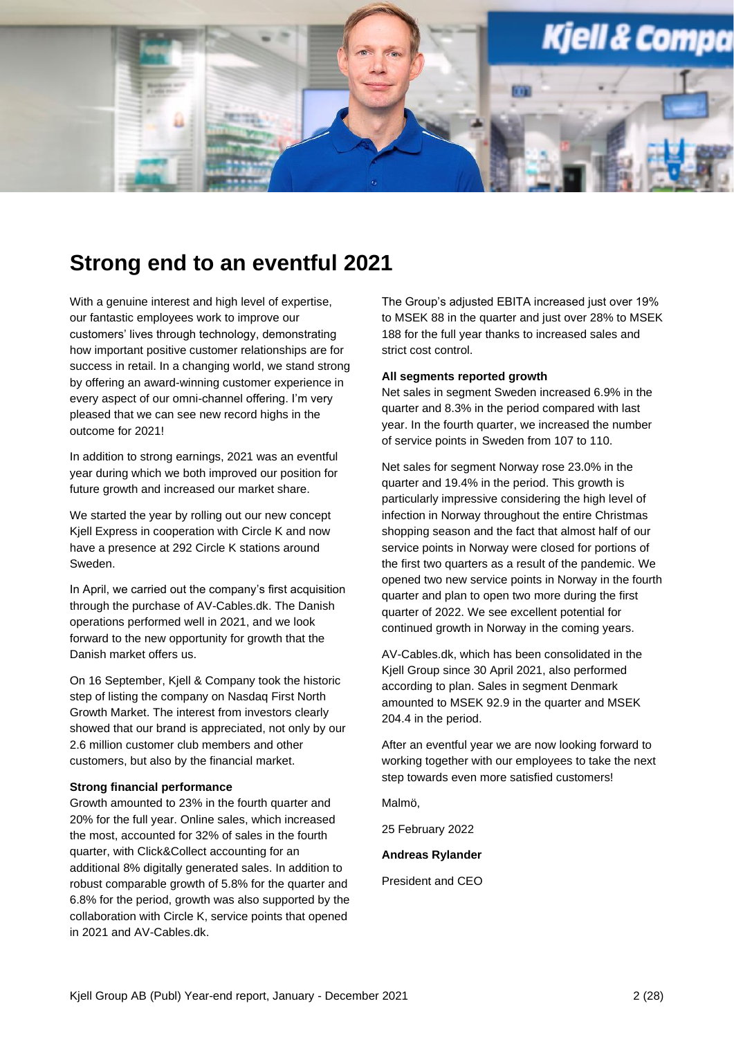

## **Strong end to an eventful 2021**

With a genuine interest and high level of expertise, our fantastic employees work to improve our customers' lives through technology, demonstrating how important positive customer relationships are for success in retail. In a changing world, we stand strong by offering an award-winning customer experience in every aspect of our omni-channel offering. I'm very pleased that we can see new record highs in the outcome for 2021!

In addition to strong earnings, 2021 was an eventful year during which we both improved our position for future growth and increased our market share.

We started the year by rolling out our new concept Kjell Express in cooperation with Circle K and now have a presence at 292 Circle K stations around Sweden.

In April, we carried out the company's first acquisition through the purchase of AV-Cables.dk. The Danish operations performed well in 2021, and we look forward to the new opportunity for growth that the Danish market offers us.

On 16 September, Kjell & Company took the historic step of listing the company on Nasdaq First North Growth Market. The interest from investors clearly showed that our brand is appreciated, not only by our 2.6 million customer club members and other customers, but also by the financial market.

#### **Strong financial performance**

Growth amounted to 23% in the fourth quarter and 20% for the full year. Online sales, which increased the most, accounted for 32% of sales in the fourth quarter, with Click&Collect accounting for an additional 8% digitally generated sales. In addition to robust comparable growth of 5.8% for the quarter and 6.8% for the period, growth was also supported by the collaboration with Circle K, service points that opened in 2021 and AV-Cables.dk.

The Group's adjusted EBITA increased just over 19% to MSEK 88 in the quarter and just over 28% to MSEK 188 for the full year thanks to increased sales and strict cost control.

#### **All segments reported growth**

Net sales in segment Sweden increased 6.9% in the quarter and 8.3% in the period compared with last year. In the fourth quarter, we increased the number of service points in Sweden from 107 to 110.

Net sales for segment Norway rose 23.0% in the quarter and 19.4% in the period. This growth is particularly impressive considering the high level of infection in Norway throughout the entire Christmas shopping season and the fact that almost half of our service points in Norway were closed for portions of the first two quarters as a result of the pandemic. We opened two new service points in Norway in the fourth quarter and plan to open two more during the first quarter of 2022. We see excellent potential for continued growth in Norway in the coming years.

AV-Cables.dk, which has been consolidated in the Kjell Group since 30 April 2021, also performed according to plan. Sales in segment Denmark amounted to MSEK 92.9 in the quarter and MSEK 204.4 in the period.

After an eventful year we are now looking forward to working together with our employees to take the next step towards even more satisfied customers!

Malmö,

25 February 2022

#### **Andreas Rylander**

President and CEO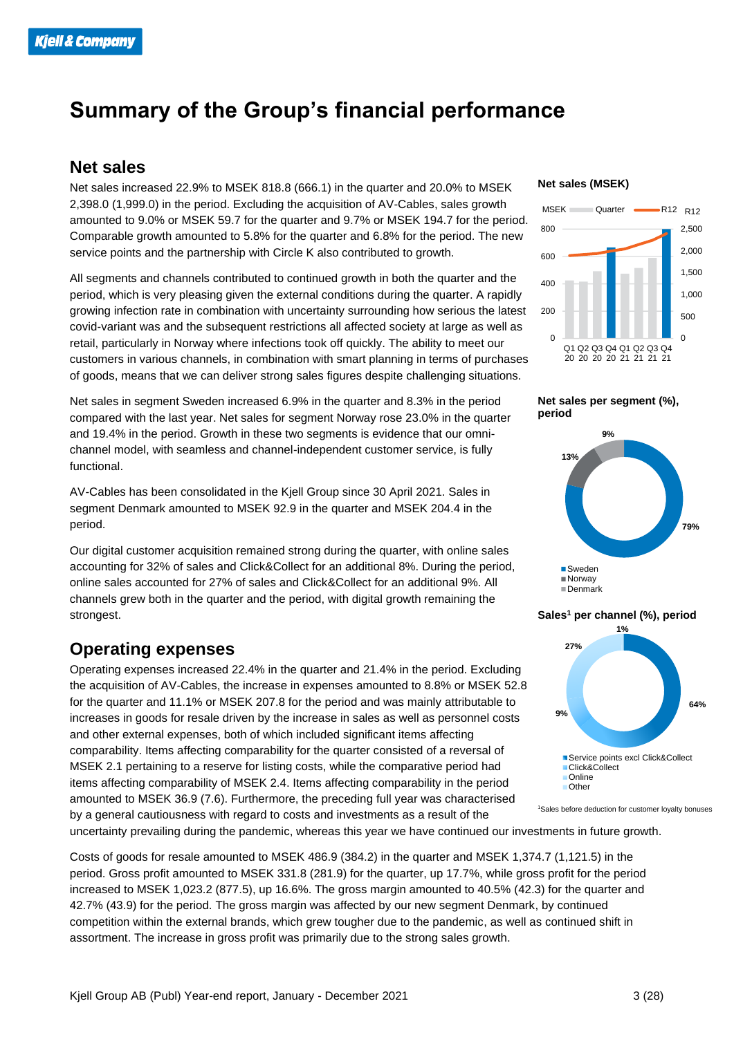## **Summary of the Group's financial performance**

### **Net sales**

Net sales increased 22.9% to MSEK 818.8 (666.1) in the quarter and 20.0% to MSEK 2,398.0 (1,999.0) in the period. Excluding the acquisition of AV-Cables, sales growth amounted to 9.0% or MSEK 59.7 for the quarter and 9.7% or MSEK 194.7 for the period. Comparable growth amounted to 5.8% for the quarter and 6.8% for the period. The new service points and the partnership with Circle K also contributed to growth.

All segments and channels contributed to continued growth in both the quarter and the period, which is very pleasing given the external conditions during the quarter. A rapidly growing infection rate in combination with uncertainty surrounding how serious the latest covid-variant was and the subsequent restrictions all affected society at large as well as retail, particularly in Norway where infections took off quickly. The ability to meet our customers in various channels, in combination with smart planning in terms of purchases of goods, means that we can deliver strong sales figures despite challenging situations.

Net sales in segment Sweden increased 6.9% in the quarter and 8.3% in the period compared with the last year. Net sales for segment Norway rose 23.0% in the quarter and 19.4% in the period. Growth in these two segments is evidence that our omnichannel model, with seamless and channel-independent customer service, is fully functional.

AV-Cables has been consolidated in the Kjell Group since 30 April 2021. Sales in segment Denmark amounted to MSEK 92.9 in the quarter and MSEK 204.4 in the period.

Our digital customer acquisition remained strong during the quarter, with online sales accounting for 32% of sales and Click&Collect for an additional 8%. During the period, online sales accounted for 27% of sales and Click&Collect for an additional 9%. All channels grew both in the quarter and the period, with digital growth remaining the strongest.

### **Operating expenses**

Operating expenses increased 22.4% in the quarter and 21.4% in the period. Excluding the acquisition of AV-Cables, the increase in expenses amounted to 8.8% or MSEK 52.8 for the quarter and 11.1% or MSEK 207.8 for the period and was mainly attributable to increases in goods for resale driven by the increase in sales as well as personnel costs and other external expenses, both of which included significant items affecting comparability. Items affecting comparability for the quarter consisted of a reversal of MSEK 2.1 pertaining to a reserve for listing costs, while the comparative period had items affecting comparability of MSEK 2.4. Items affecting comparability in the period amounted to MSEK 36.9 (7.6). Furthermore, the preceding full year was characterised by a general cautiousness with regard to costs and investments as a result of the

#### **Net sales (MSEK)**



**Net sales per segment (%), period**



**Sales<sup>1</sup> per channel (%), period**



uncertainty prevailing during the pandemic, whereas this year we have continued our investments in future growth.

Costs of goods for resale amounted to MSEK 486.9 (384.2) in the quarter and MSEK 1,374.7 (1,121.5) in the period. Gross profit amounted to MSEK 331.8 (281.9) for the quarter, up 17.7%, while gross profit for the period increased to MSEK 1,023.2 (877.5), up 16.6%. The gross margin amounted to 40.5% (42.3) for the quarter and 42.7% (43.9) for the period. The gross margin was affected by our new segment Denmark, by continued competition within the external brands, which grew tougher due to the pandemic, as well as continued shift in assortment. The increase in gross profit was primarily due to the strong sales growth.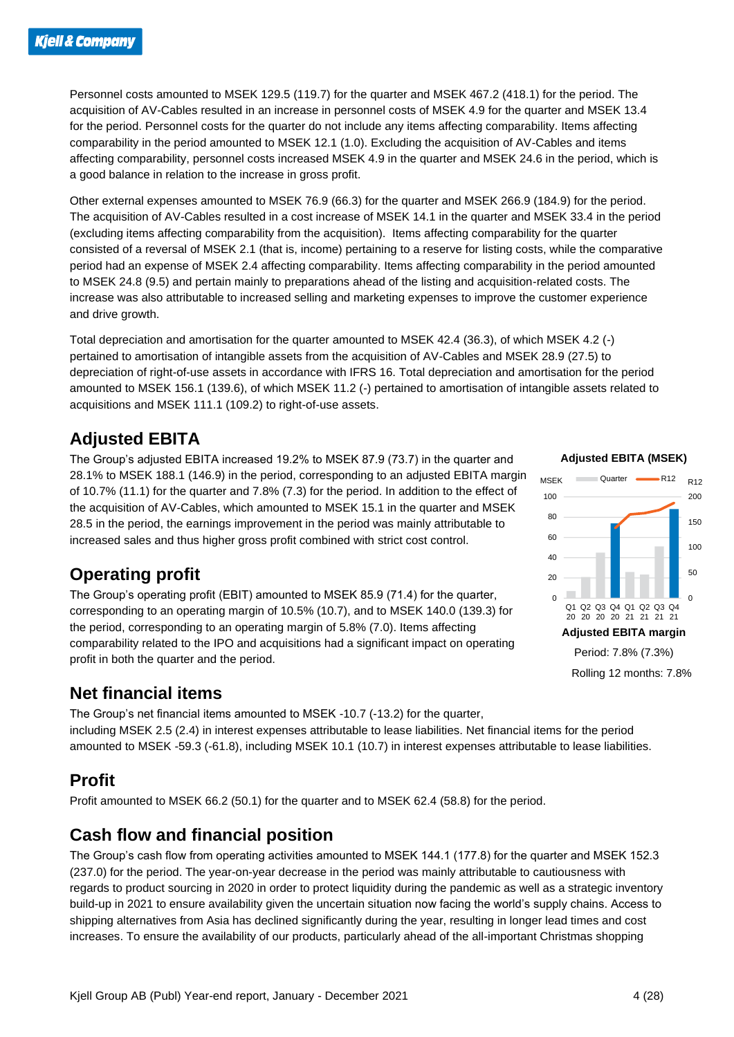Personnel costs amounted to MSEK 129.5 (119.7) for the quarter and MSEK 467.2 (418.1) for the period. The acquisition of AV-Cables resulted in an increase in personnel costs of MSEK 4.9 for the quarter and MSEK 13.4 for the period. Personnel costs for the quarter do not include any items affecting comparability. Items affecting comparability in the period amounted to MSEK 12.1 (1.0). Excluding the acquisition of AV-Cables and items affecting comparability, personnel costs increased MSEK 4.9 in the quarter and MSEK 24.6 in the period, which is a good balance in relation to the increase in gross profit.

Other external expenses amounted to MSEK 76.9 (66.3) for the quarter and MSEK 266.9 (184.9) for the period. The acquisition of AV-Cables resulted in a cost increase of MSEK 14.1 in the quarter and MSEK 33.4 in the period (excluding items affecting comparability from the acquisition). Items affecting comparability for the quarter consisted of a reversal of MSEK 2.1 (that is, income) pertaining to a reserve for listing costs, while the comparative period had an expense of MSEK 2.4 affecting comparability. Items affecting comparability in the period amounted to MSEK 24.8 (9.5) and pertain mainly to preparations ahead of the listing and acquisition-related costs. The increase was also attributable to increased selling and marketing expenses to improve the customer experience and drive growth.

Total depreciation and amortisation for the quarter amounted to MSEK 42.4 (36.3), of which MSEK 4.2 (-) pertained to amortisation of intangible assets from the acquisition of AV-Cables and MSEK 28.9 (27.5) to depreciation of right-of-use assets in accordance with IFRS 16. Total depreciation and amortisation for the period amounted to MSEK 156.1 (139.6), of which MSEK 11.2 (-) pertained to amortisation of intangible assets related to acquisitions and MSEK 111.1 (109.2) to right-of-use assets.

## **Adjusted EBITA**

The Group's adjusted EBITA increased 19.2% to MSEK 87.9 (73.7) in the quarter and 28.1% to MSEK 188.1 (146.9) in the period, corresponding to an adjusted EBITA margin of 10.7% (11.1) for the quarter and 7.8% (7.3) for the period. In addition to the effect of the acquisition of AV-Cables, which amounted to MSEK 15.1 in the quarter and MSEK 28.5 in the period, the earnings improvement in the period was mainly attributable to increased sales and thus higher gross profit combined with strict cost control.

## **Operating profit**

The Group's operating profit (EBIT) amounted to MSEK 85.9 (71.4) for the quarter, corresponding to an operating margin of 10.5% (10.7), and to MSEK 140.0 (139.3) for the period, corresponding to an operating margin of 5.8% (7.0). Items affecting comparability related to the IPO and acquisitions had a significant impact on operating profit in both the quarter and the period.

## **Net financial items**

The Group's net financial items amounted to MSEK -10.7 (-13.2) for the quarter, including MSEK 2.5 (2.4) in interest expenses attributable to lease liabilities. Net financial items for the period amounted to MSEK -59.3 (-61.8), including MSEK 10.1 (10.7) in interest expenses attributable to lease liabilities.

## **Profit**

Profit amounted to MSEK 66.2 (50.1) for the quarter and to MSEK 62.4 (58.8) for the period.

## **Cash flow and financial position**

The Group's cash flow from operating activities amounted to MSEK 144.1 (177.8) for the quarter and MSEK 152.3 (237.0) for the period. The year-on-year decrease in the period was mainly attributable to cautiousness with regards to product sourcing in 2020 in order to protect liquidity during the pandemic as well as a strategic inventory build-up in 2021 to ensure availability given the uncertain situation now facing the world's supply chains. Access to shipping alternatives from Asia has declined significantly during the year, resulting in longer lead times and cost increases. To ensure the availability of our products, particularly ahead of the all-important Christmas shopping

#### **Adjusted EBITA (MSEK)**

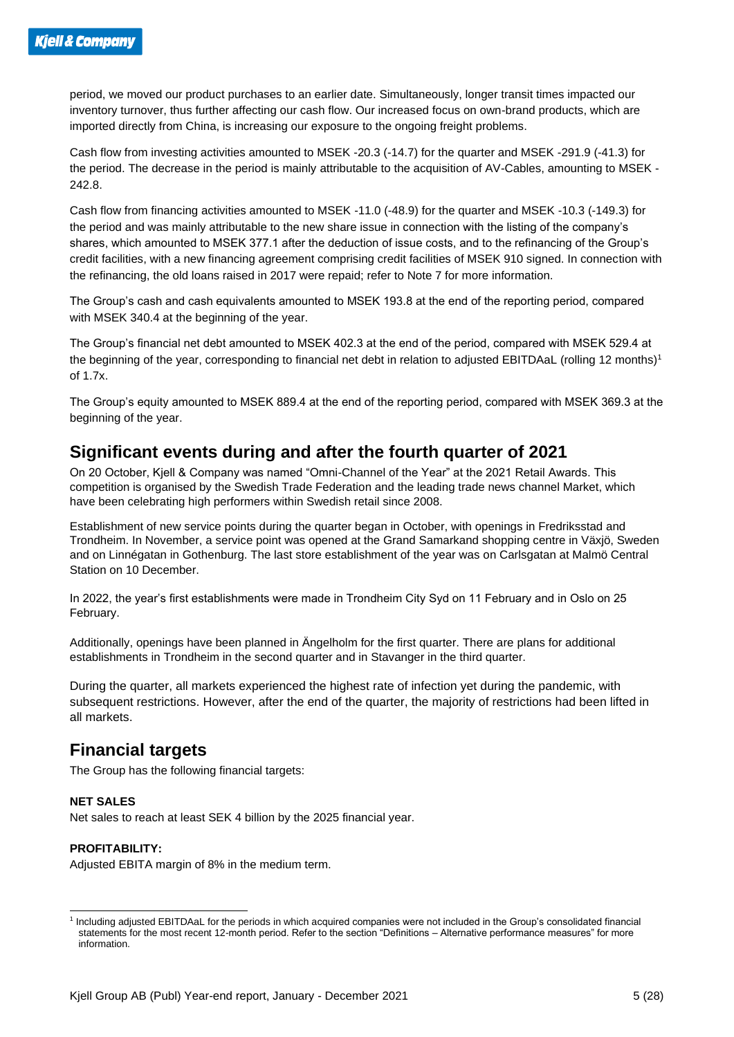period, we moved our product purchases to an earlier date. Simultaneously, longer transit times impacted our inventory turnover, thus further affecting our cash flow. Our increased focus on own-brand products, which are imported directly from China, is increasing our exposure to the ongoing freight problems.

Cash flow from investing activities amounted to MSEK -20.3 (-14.7) for the quarter and MSEK -291.9 (-41.3) for the period. The decrease in the period is mainly attributable to the acquisition of AV-Cables, amounting to MSEK - 242.8.

Cash flow from financing activities amounted to MSEK -11.0 (-48.9) for the quarter and MSEK -10.3 (-149.3) for the period and was mainly attributable to the new share issue in connection with the listing of the company's shares, which amounted to MSEK 377.1 after the deduction of issue costs, and to the refinancing of the Group's credit facilities, with a new financing agreement comprising credit facilities of MSEK 910 signed. In connection with the refinancing, the old loans raised in 2017 were repaid; refer to Note 7 for more information.

The Group's cash and cash equivalents amounted to MSEK 193.8 at the end of the reporting period, compared with MSEK 340.4 at the beginning of the year.

The Group's financial net debt amounted to MSEK 402.3 at the end of the period, compared with MSEK 529.4 at the beginning of the year, corresponding to financial net debt in relation to adjusted EBITDAaL (rolling 12 months)<sup>1</sup> of 1.7x.

The Group's equity amounted to MSEK 889.4 at the end of the reporting period, compared with MSEK 369.3 at the beginning of the year.

### **Significant events during and after the fourth quarter of 2021**

On 20 October, Kjell & Company was named "Omni-Channel of the Year" at the 2021 Retail Awards. This competition is organised by the Swedish Trade Federation and the leading trade news channel Market, which have been celebrating high performers within Swedish retail since 2008.

Establishment of new service points during the quarter began in October, with openings in Fredriksstad and Trondheim. In November, a service point was opened at the Grand Samarkand shopping centre in Växjö, Sweden and on Linnégatan in Gothenburg. The last store establishment of the year was on Carlsgatan at Malmö Central Station on 10 December.

In 2022, the year's first establishments were made in Trondheim City Syd on 11 February and in Oslo on 25 February.

Additionally, openings have been planned in Ängelholm for the first quarter. There are plans for additional establishments in Trondheim in the second quarter and in Stavanger in the third quarter.

During the quarter, all markets experienced the highest rate of infection yet during the pandemic, with subsequent restrictions. However, after the end of the quarter, the majority of restrictions had been lifted in all markets.

### **Financial targets**

The Group has the following financial targets:

#### **NET SALES**

Net sales to reach at least SEK 4 billion by the 2025 financial year.

#### **PROFITABILITY:**

Adjusted EBITA margin of 8% in the medium term.

<sup>&</sup>lt;sup>1</sup> Including adjusted EBITDAaL for the periods in which acquired companies were not included in the Group's consolidated financial statements for the most recent 12-month period. Refer to the section "Definitions – Alternative performance measures" for more information.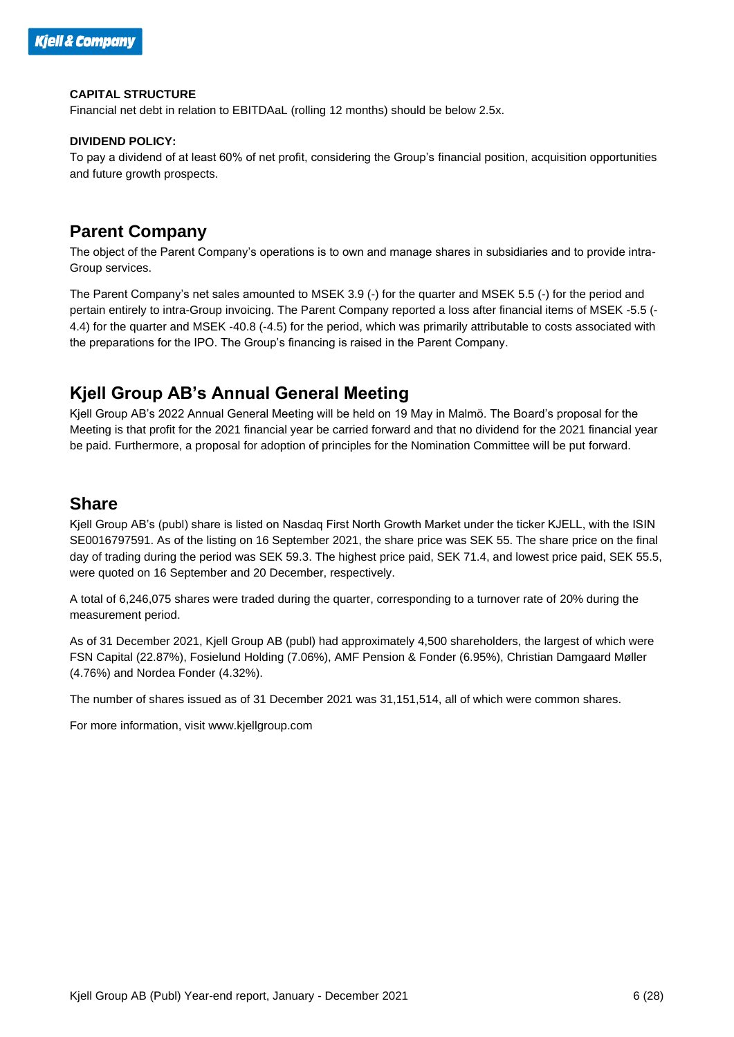#### **CAPITAL STRUCTURE**

Financial net debt in relation to EBITDAaL (rolling 12 months) should be below 2.5x.

#### **DIVIDEND POLICY:**

To pay a dividend of at least 60% of net profit, considering the Group's financial position, acquisition opportunities and future growth prospects.

### **Parent Company**

The object of the Parent Company's operations is to own and manage shares in subsidiaries and to provide intra-Group services.

The Parent Company's net sales amounted to MSEK 3.9 (-) for the quarter and MSEK 5.5 (-) for the period and pertain entirely to intra-Group invoicing. The Parent Company reported a loss after financial items of MSEK -5.5 (- 4.4) for the quarter and MSEK -40.8 (-4.5) for the period, which was primarily attributable to costs associated with the preparations for the IPO. The Group's financing is raised in the Parent Company.

### **Kjell Group AB's Annual General Meeting**

Kjell Group AB's 2022 Annual General Meeting will be held on 19 May in Malmö. The Board's proposal for the Meeting is that profit for the 2021 financial year be carried forward and that no dividend for the 2021 financial year be paid. Furthermore, a proposal for adoption of principles for the Nomination Committee will be put forward.

### **Share**

Kjell Group AB's (publ) share is listed on Nasdaq First North Growth Market under the ticker KJELL, with the ISIN SE0016797591. As of the listing on 16 September 2021, the share price was SEK 55. The share price on the final day of trading during the period was SEK 59.3. The highest price paid, SEK 71.4, and lowest price paid, SEK 55.5, were quoted on 16 September and 20 December, respectively.

A total of 6,246,075 shares were traded during the quarter, corresponding to a turnover rate of 20% during the measurement period.

As of 31 December 2021, Kjell Group AB (publ) had approximately 4,500 shareholders, the largest of which were FSN Capital (22.87%), Fosielund Holding (7.06%), AMF Pension & Fonder (6.95%), Christian Damgaard Møller (4.76%) and Nordea Fonder (4.32%).

The number of shares issued as of 31 December 2021 was 31,151,514, all of which were common shares.

For more information, visit www.kjellgroup.com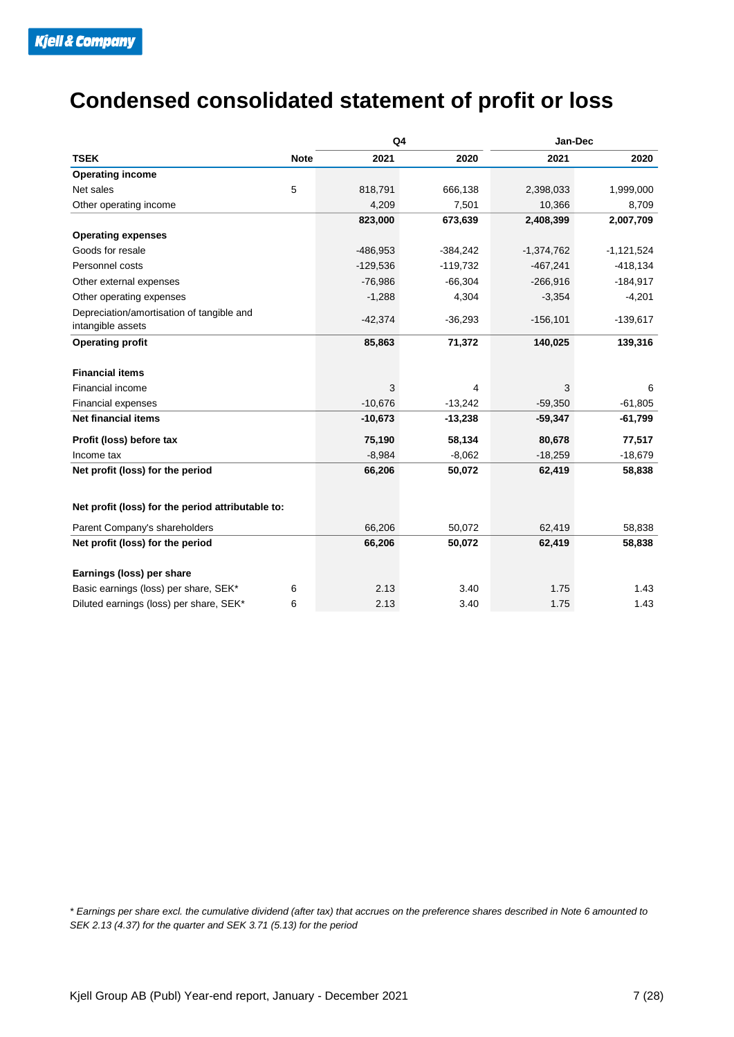## **Condensed consolidated statement of profit or loss**

|                                                                |             | Q4         |            | Jan-Dec      |              |  |
|----------------------------------------------------------------|-------------|------------|------------|--------------|--------------|--|
| <b>TSEK</b>                                                    | <b>Note</b> | 2021       | 2020       | 2021         | 2020         |  |
| <b>Operating income</b>                                        |             |            |            |              |              |  |
| Net sales                                                      | 5           | 818,791    | 666,138    | 2,398,033    | 1,999,000    |  |
| Other operating income                                         |             | 4,209      | 7,501      | 10,366       | 8,709        |  |
|                                                                |             | 823,000    | 673,639    | 2,408,399    | 2,007,709    |  |
| <b>Operating expenses</b>                                      |             |            |            |              |              |  |
| Goods for resale                                               |             | $-486,953$ | $-384,242$ | $-1,374,762$ | $-1,121,524$ |  |
| Personnel costs                                                |             | $-129,536$ | $-119,732$ | $-467,241$   | $-418,134$   |  |
| Other external expenses                                        |             | $-76,986$  | $-66,304$  | $-266,916$   | $-184,917$   |  |
| Other operating expenses                                       |             | $-1,288$   | 4,304      | $-3,354$     | $-4,201$     |  |
| Depreciation/amortisation of tangible and<br>intangible assets |             | $-42,374$  | $-36,293$  | $-156, 101$  | $-139,617$   |  |
| <b>Operating profit</b>                                        |             | 85,863     | 71,372     | 140,025      | 139,316      |  |
| <b>Financial items</b>                                         |             |            |            |              |              |  |
| Financial income                                               |             | 3          | 4          | 3            | 6            |  |
| Financial expenses                                             |             | $-10,676$  | $-13,242$  | $-59,350$    | $-61,805$    |  |
| Net financial items                                            |             | $-10,673$  | $-13,238$  | $-59,347$    | $-61,799$    |  |
| Profit (loss) before tax                                       |             | 75,190     | 58,134     | 80,678       | 77,517       |  |
| Income tax                                                     |             | $-8,984$   | $-8,062$   | $-18,259$    | $-18,679$    |  |
| Net profit (loss) for the period                               |             | 66,206     | 50,072     | 62,419       | 58,838       |  |
| Net profit (loss) for the period attributable to:              |             |            |            |              |              |  |
| Parent Company's shareholders                                  |             | 66,206     | 50,072     | 62,419       | 58,838       |  |
| Net profit (loss) for the period                               |             | 66,206     | 50,072     | 62,419       | 58,838       |  |
| Earnings (loss) per share                                      |             |            |            |              |              |  |
| Basic earnings (loss) per share, SEK*                          | 6           | 2.13       | 3.40       | 1.75         | 1.43         |  |
| Diluted earnings (loss) per share, SEK*                        | 6           | 2.13       | 3.40       | 1.75         | 1.43         |  |

*\* Earnings per share excl. the cumulative dividend (after tax) that accrues on the preference shares described in Note 6 amounted to SEK 2.13 (4.37) for the quarter and SEK 3.71 (5.13) for the period*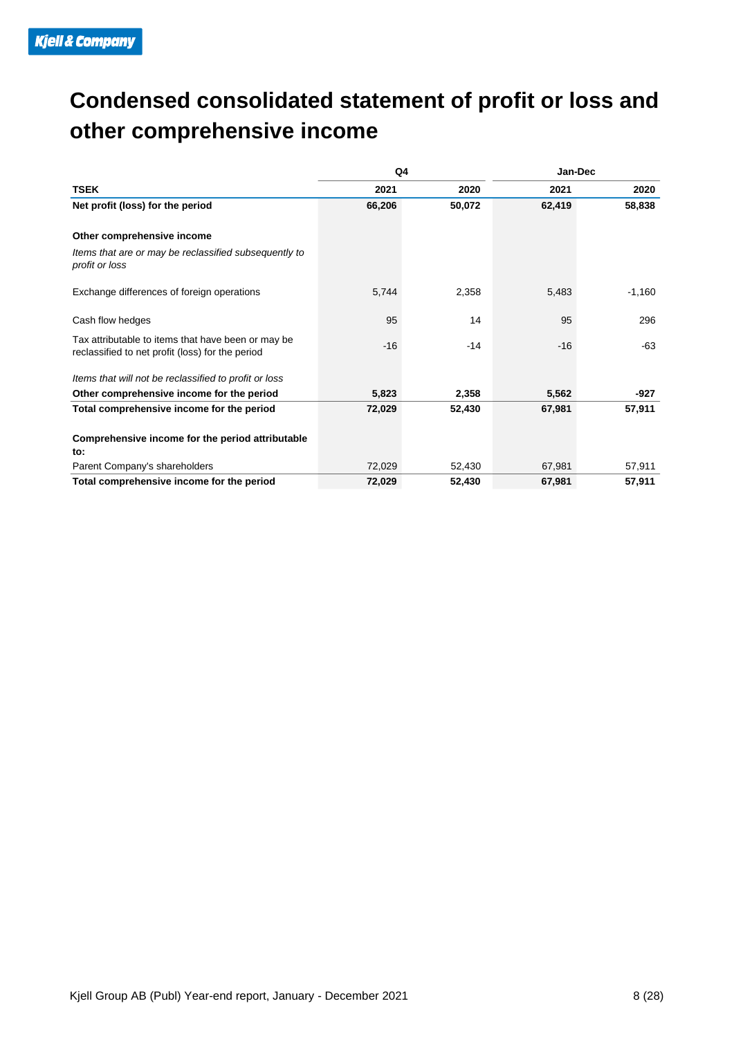## **Condensed consolidated statement of profit or loss and other comprehensive income**

|                                                                                                        | Q4     |        | Jan-Dec |          |  |
|--------------------------------------------------------------------------------------------------------|--------|--------|---------|----------|--|
| <b>TSEK</b>                                                                                            | 2021   | 2020   | 2021    | 2020     |  |
| Net profit (loss) for the period                                                                       | 66,206 | 50,072 | 62,419  | 58,838   |  |
| Other comprehensive income                                                                             |        |        |         |          |  |
| Items that are or may be reclassified subsequently to<br>profit or loss                                |        |        |         |          |  |
| Exchange differences of foreign operations                                                             | 5,744  | 2,358  | 5,483   | $-1,160$ |  |
| Cash flow hedges                                                                                       | 95     | 14     | 95      | 296      |  |
| Tax attributable to items that have been or may be<br>reclassified to net profit (loss) for the period | $-16$  | $-14$  | $-16$   | $-63$    |  |
| Items that will not be reclassified to profit or loss                                                  |        |        |         |          |  |
| Other comprehensive income for the period                                                              | 5,823  | 2,358  | 5,562   | -927     |  |
| Total comprehensive income for the period                                                              | 72,029 | 52,430 | 67,981  | 57,911   |  |
| Comprehensive income for the period attributable<br>to:                                                |        |        |         |          |  |
| Parent Company's shareholders                                                                          | 72,029 | 52,430 | 67,981  | 57,911   |  |
| Total comprehensive income for the period                                                              | 72,029 | 52,430 | 67,981  | 57,911   |  |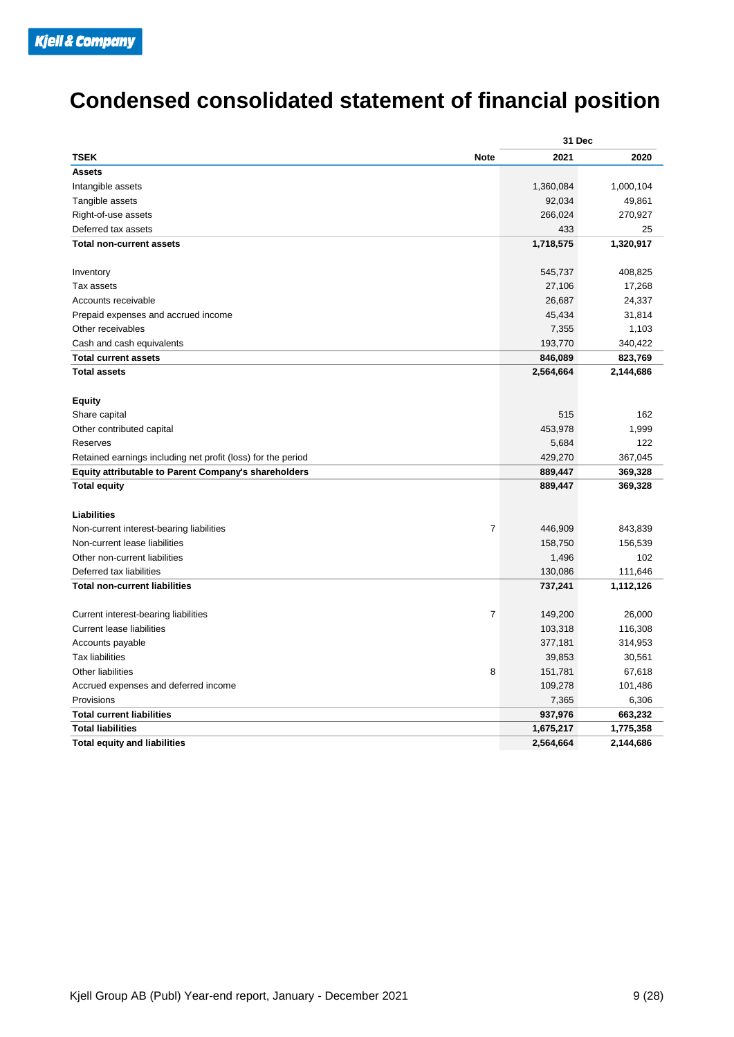## **Condensed consolidated statement of financial position**

|                                                              | 31 Dec    |           |  |
|--------------------------------------------------------------|-----------|-----------|--|
| <b>TSEK</b><br><b>Note</b>                                   | 2021      | 2020      |  |
| <b>Assets</b>                                                |           |           |  |
| Intangible assets                                            | 1,360,084 | 1,000,104 |  |
| Tangible assets                                              | 92,034    | 49,861    |  |
| Right-of-use assets                                          | 266,024   | 270,927   |  |
| Deferred tax assets                                          | 433       | 25        |  |
| <b>Total non-current assets</b>                              | 1,718,575 | 1,320,917 |  |
|                                                              |           |           |  |
| Inventory                                                    | 545,737   | 408,825   |  |
| Tax assets                                                   | 27,106    | 17,268    |  |
| Accounts receivable                                          | 26,687    | 24,337    |  |
| Prepaid expenses and accrued income                          | 45,434    | 31,814    |  |
| Other receivables                                            | 7,355     | 1,103     |  |
| Cash and cash equivalents                                    | 193,770   | 340,422   |  |
| <b>Total current assets</b>                                  | 846,089   | 823,769   |  |
| <b>Total assets</b>                                          | 2,564,664 | 2,144,686 |  |
| <b>Equity</b>                                                |           |           |  |
| Share capital                                                | 515       | 162       |  |
| Other contributed capital                                    | 453,978   | 1,999     |  |
| Reserves                                                     | 5,684     | 122       |  |
| Retained earnings including net profit (loss) for the period | 429,270   | 367,045   |  |
| Equity attributable to Parent Company's shareholders         | 889,447   | 369,328   |  |
| <b>Total equity</b>                                          | 889,447   | 369,328   |  |
|                                                              |           |           |  |
| <b>Liabilities</b>                                           |           |           |  |
| $\overline{7}$<br>Non-current interest-bearing liabilities   | 446,909   | 843,839   |  |
| Non-current lease liabilities                                | 158,750   | 156,539   |  |
| Other non-current liabilities                                | 1,496     | 102       |  |
| Deferred tax liabilities                                     | 130,086   | 111,646   |  |
| <b>Total non-current liabilities</b>                         | 737,241   | 1,112,126 |  |
|                                                              |           |           |  |
| $\overline{7}$<br>Current interest-bearing liabilities       | 149,200   | 26,000    |  |
| <b>Current lease liabilities</b>                             | 103,318   | 116,308   |  |
| Accounts payable                                             | 377,181   | 314,953   |  |
| <b>Tax liabilities</b>                                       | 39,853    | 30,561    |  |
| Other liabilities<br>8                                       | 151,781   | 67,618    |  |
| Accrued expenses and deferred income                         | 109,278   | 101,486   |  |
| Provisions                                                   | 7,365     | 6,306     |  |
| <b>Total current liabilities</b>                             | 937,976   | 663,232   |  |
| <b>Total liabilities</b>                                     | 1,675,217 | 1,775,358 |  |
| <b>Total equity and liabilities</b>                          | 2,564,664 | 2,144,686 |  |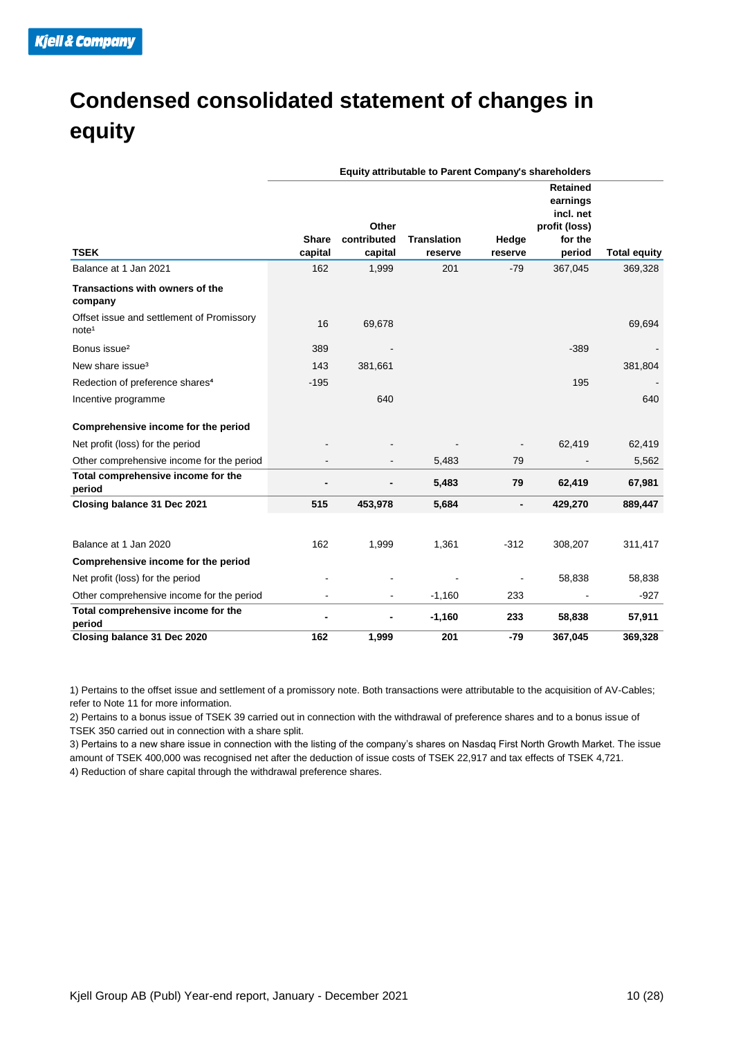## **Condensed consolidated statement of changes in equity**

|                                                                | Equity attributable to Parent Company's shareholders |                                 |                               |                  |                                                                                |                     |  |  |  |  |
|----------------------------------------------------------------|------------------------------------------------------|---------------------------------|-------------------------------|------------------|--------------------------------------------------------------------------------|---------------------|--|--|--|--|
| <b>TSEK</b>                                                    | <b>Share</b><br>capital                              | Other<br>contributed<br>capital | <b>Translation</b><br>reserve | Hedge<br>reserve | <b>Retained</b><br>earnings<br>incl. net<br>profit (loss)<br>for the<br>period | <b>Total equity</b> |  |  |  |  |
| Balance at 1 Jan 2021                                          | 162                                                  | 1,999                           | 201                           | $-79$            | 367,045                                                                        | 369,328             |  |  |  |  |
| Transactions with owners of the<br>company                     |                                                      |                                 |                               |                  |                                                                                |                     |  |  |  |  |
| Offset issue and settlement of Promissory<br>note <sup>1</sup> | 16                                                   | 69,678                          |                               |                  |                                                                                | 69,694              |  |  |  |  |
| Bonus issue <sup>2</sup>                                       | 389                                                  |                                 |                               |                  | $-389$                                                                         |                     |  |  |  |  |
| New share issue <sup>3</sup>                                   | 143                                                  | 381,661                         |                               |                  |                                                                                | 381,804             |  |  |  |  |
| Redection of preference shares <sup>4</sup>                    | $-195$                                               |                                 |                               |                  | 195                                                                            |                     |  |  |  |  |
| Incentive programme                                            |                                                      | 640                             |                               |                  |                                                                                | 640                 |  |  |  |  |
| Comprehensive income for the period                            |                                                      |                                 |                               |                  |                                                                                |                     |  |  |  |  |
| Net profit (loss) for the period                               |                                                      |                                 |                               |                  | 62,419                                                                         | 62,419              |  |  |  |  |
| Other comprehensive income for the period                      |                                                      |                                 | 5,483                         | 79               |                                                                                | 5,562               |  |  |  |  |
| Total comprehensive income for the<br>period                   |                                                      |                                 | 5,483                         | 79               | 62,419                                                                         | 67,981              |  |  |  |  |
| Closing balance 31 Dec 2021                                    | 515                                                  | 453,978                         | 5,684                         |                  | 429,270                                                                        | 889,447             |  |  |  |  |
|                                                                |                                                      |                                 |                               |                  |                                                                                |                     |  |  |  |  |
| Balance at 1 Jan 2020                                          | 162                                                  | 1,999                           | 1,361                         | $-312$           | 308,207                                                                        | 311,417             |  |  |  |  |
| Comprehensive income for the period                            |                                                      |                                 |                               |                  |                                                                                |                     |  |  |  |  |
| Net profit (loss) for the period                               |                                                      |                                 |                               |                  | 58,838                                                                         | 58,838              |  |  |  |  |
| Other comprehensive income for the period                      |                                                      |                                 | $-1,160$                      | 233              |                                                                                | $-927$              |  |  |  |  |
| Total comprehensive income for the<br>period                   |                                                      |                                 | $-1,160$                      | 233              | 58,838                                                                         | 57,911              |  |  |  |  |
| Closing balance 31 Dec 2020                                    | 162                                                  | 1,999                           | 201                           | $-79$            | 367,045                                                                        | 369,328             |  |  |  |  |

1) Pertains to the offset issue and settlement of a promissory note. Both transactions were attributable to the acquisition of AV-Cables; refer to Note 11 for more information.

2) Pertains to a bonus issue of TSEK 39 carried out in connection with the withdrawal of preference shares and to a bonus issue of TSEK 350 carried out in connection with a share split.

3) Pertains to a new share issue in connection with the listing of the company's shares on Nasdaq First North Growth Market. The issue amount of TSEK 400,000 was recognised net after the deduction of issue costs of TSEK 22,917 and tax effects of TSEK 4,721. 4) Reduction of share capital through the withdrawal preference shares.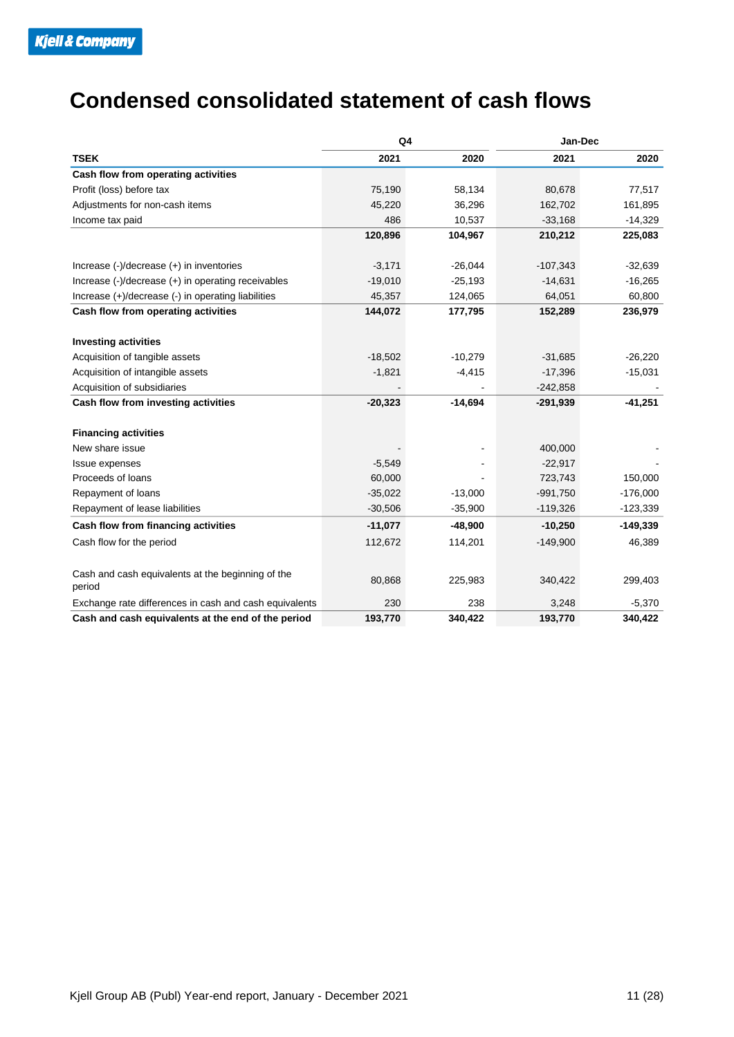## **Condensed consolidated statement of cash flows**

|                                                             | Q4        |           | Jan-Dec    |            |  |
|-------------------------------------------------------------|-----------|-----------|------------|------------|--|
| <b>TSEK</b>                                                 | 2021      | 2020      | 2021       | 2020       |  |
| Cash flow from operating activities                         |           |           |            |            |  |
| Profit (loss) before tax                                    | 75,190    | 58,134    | 80,678     | 77,517     |  |
| Adjustments for non-cash items                              | 45,220    | 36,296    | 162,702    | 161,895    |  |
| Income tax paid                                             | 486       | 10,537    | $-33,168$  | $-14,329$  |  |
|                                                             | 120,896   | 104,967   | 210,212    | 225,083    |  |
| Increase $(-)/$ decrease $(+)$ in inventories               | $-3,171$  | $-26,044$ | $-107,343$ | $-32,639$  |  |
| Increase (-)/decrease (+) in operating receivables          | $-19,010$ | $-25,193$ | $-14,631$  | $-16,265$  |  |
| Increase (+)/decrease (-) in operating liabilities          | 45,357    | 124,065   | 64,051     | 60,800     |  |
| Cash flow from operating activities                         | 144,072   | 177,795   | 152,289    | 236,979    |  |
|                                                             |           |           |            |            |  |
| <b>Investing activities</b>                                 |           |           |            |            |  |
| Acquisition of tangible assets                              | $-18,502$ | $-10,279$ | $-31,685$  | $-26,220$  |  |
| Acquisition of intangible assets                            | $-1,821$  | $-4,415$  | $-17,396$  | $-15,031$  |  |
| Acquisition of subsidiaries                                 |           |           | $-242,858$ |            |  |
| Cash flow from investing activities                         | $-20,323$ | $-14,694$ | $-291,939$ | $-41,251$  |  |
| <b>Financing activities</b>                                 |           |           |            |            |  |
| New share issue                                             |           |           | 400,000    |            |  |
| Issue expenses                                              | $-5,549$  |           | $-22,917$  |            |  |
| Proceeds of loans                                           | 60,000    |           | 723,743    | 150,000    |  |
| Repayment of loans                                          | $-35,022$ | $-13,000$ | $-991,750$ | $-176,000$ |  |
| Repayment of lease liabilities                              | $-30,506$ | $-35,900$ | $-119,326$ | $-123,339$ |  |
| Cash flow from financing activities                         | $-11,077$ | $-48,900$ | $-10,250$  | $-149,339$ |  |
| Cash flow for the period                                    | 112,672   | 114,201   | $-149,900$ | 46,389     |  |
| Cash and cash equivalents at the beginning of the<br>period | 80,868    | 225,983   | 340,422    | 299,403    |  |
| Exchange rate differences in cash and cash equivalents      | 230       | 238       | 3,248      | $-5,370$   |  |
| Cash and cash equivalents at the end of the period          | 193,770   | 340,422   | 193,770    | 340,422    |  |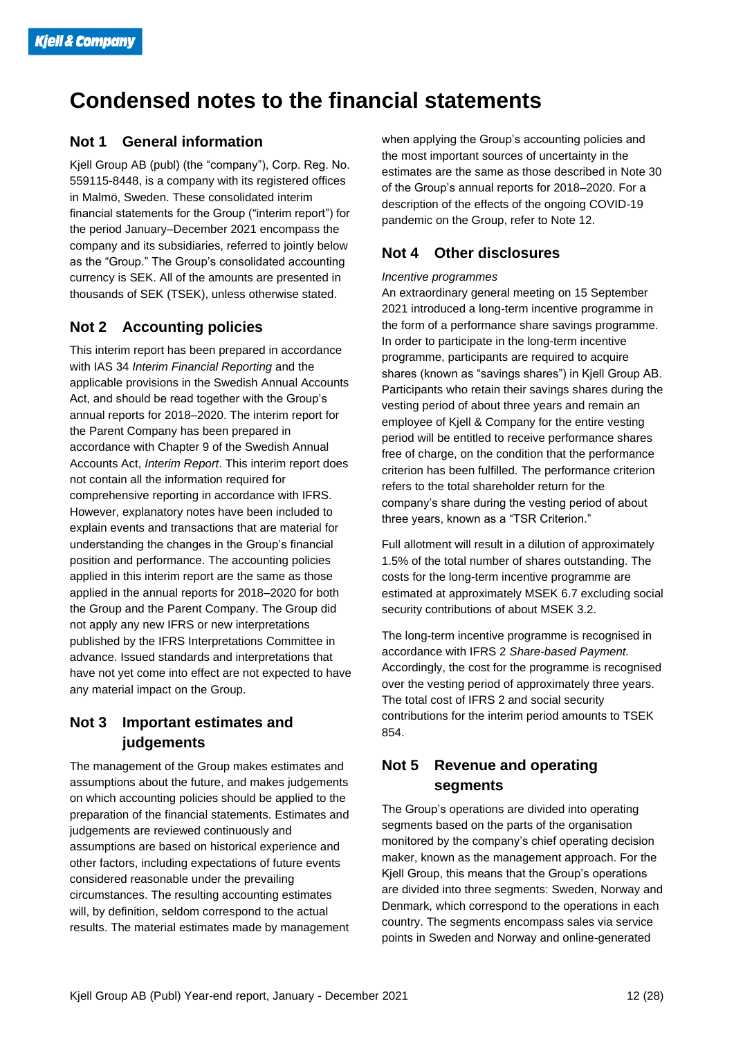## **Condensed notes to the financial statements**

#### **Not 1 General information**

Kjell Group AB (publ) (the "company"), Corp. Reg. No. 559115-8448, is a company with its registered offices in Malmö, Sweden. These consolidated interim financial statements for the Group ("interim report") for the period January–December 2021 encompass the company and its subsidiaries, referred to jointly below as the "Group." The Group's consolidated accounting currency is SEK. All of the amounts are presented in thousands of SEK (TSEK), unless otherwise stated.

#### **Not 2 Accounting policies**

This interim report has been prepared in accordance with IAS 34 *Interim Financial Reporting* and the applicable provisions in the Swedish Annual Accounts Act, and should be read together with the Group's annual reports for 2018–2020. The interim report for the Parent Company has been prepared in accordance with Chapter 9 of the Swedish Annual Accounts Act, *Interim Report*. This interim report does not contain all the information required for comprehensive reporting in accordance with IFRS. However, explanatory notes have been included to explain events and transactions that are material for understanding the changes in the Group's financial position and performance. The accounting policies applied in this interim report are the same as those applied in the annual reports for 2018–2020 for both the Group and the Parent Company. The Group did not apply any new IFRS or new interpretations published by the IFRS Interpretations Committee in advance. Issued standards and interpretations that have not yet come into effect are not expected to have any material impact on the Group.

### **Not 3 Important estimates and judgements**

The management of the Group makes estimates and assumptions about the future, and makes judgements on which accounting policies should be applied to the preparation of the financial statements. Estimates and judgements are reviewed continuously and assumptions are based on historical experience and other factors, including expectations of future events considered reasonable under the prevailing circumstances. The resulting accounting estimates will, by definition, seldom correspond to the actual results. The material estimates made by management when applying the Group's accounting policies and the most important sources of uncertainty in the estimates are the same as those described in Note 30 of the Group's annual reports for 2018–2020. For a description of the effects of the ongoing COVID-19 pandemic on the Group, refer to Note 12.

#### **Not 4 Other disclosures**

#### *Incentive programmes*

An extraordinary general meeting on 15 September 2021 introduced a long-term incentive programme in the form of a performance share savings programme. In order to participate in the long-term incentive programme, participants are required to acquire shares (known as "savings shares") in Kjell Group AB. Participants who retain their savings shares during the vesting period of about three years and remain an employee of Kjell & Company for the entire vesting period will be entitled to receive performance shares free of charge, on the condition that the performance criterion has been fulfilled. The performance criterion refers to the total shareholder return for the company's share during the vesting period of about three years, known as a "TSR Criterion."

Full allotment will result in a dilution of approximately 1.5% of the total number of shares outstanding. The costs for the long-term incentive programme are estimated at approximately MSEK 6.7 excluding social security contributions of about MSEK 3.2.

The long-term incentive programme is recognised in accordance with IFRS 2 *Share-based Payment.* Accordingly, the cost for the programme is recognised over the vesting period of approximately three years. The total cost of IFRS 2 and social security contributions for the interim period amounts to TSEK 854.

### **Not 5 Revenue and operating segments**

The Group's operations are divided into operating segments based on the parts of the organisation monitored by the company's chief operating decision maker, known as the management approach. For the Kjell Group, this means that the Group's operations are divided into three segments: Sweden, Norway and Denmark, which correspond to the operations in each country. The segments encompass sales via service points in Sweden and Norway and online-generated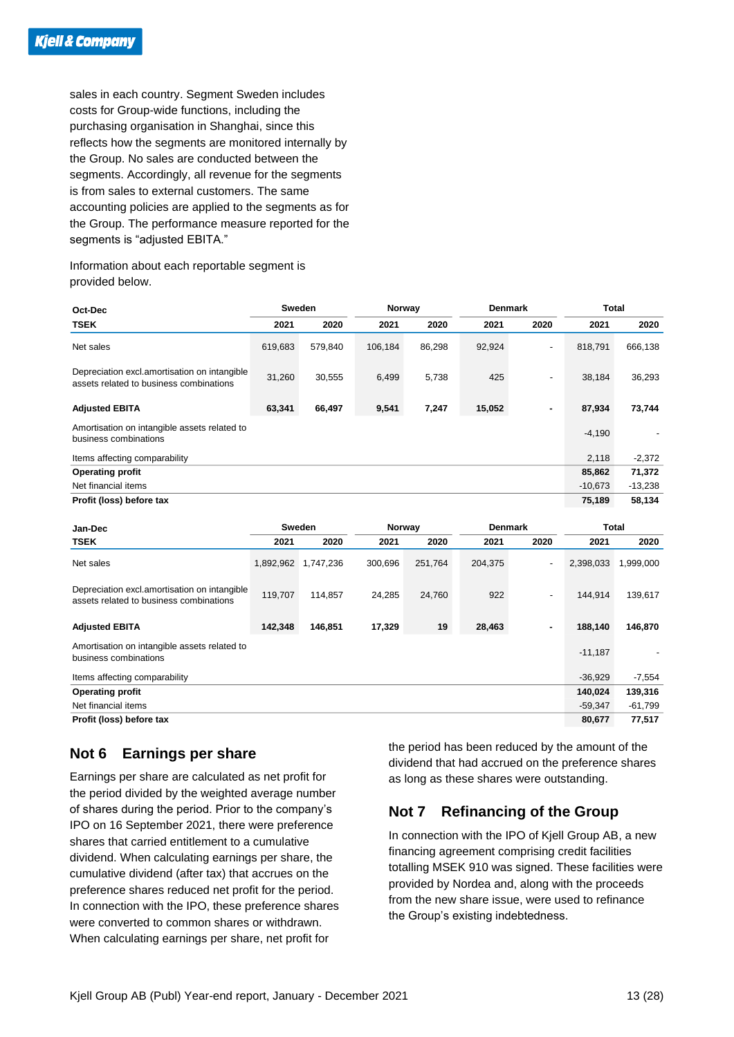sales in each country. Segment Sweden includes costs for Group-wide functions, including the purchasing organisation in Shanghai, since this reflects how the segments are monitored internally by the Group. No sales are conducted between the segments. Accordingly, all revenue for the segments is from sales to external customers. The same accounting policies are applied to the segments as for the Group. The performance measure reported for the segments is "adjusted EBITA."

Information about each reportable segment is provided below.

| Oct-Dec                                                                                 | Sweden<br>Norway |         | <b>Denmark</b> |        | Total          |                          |           |           |
|-----------------------------------------------------------------------------------------|------------------|---------|----------------|--------|----------------|--------------------------|-----------|-----------|
| TSEK                                                                                    | 2021             | 2020    | 2021           | 2020   | 2021           | 2020                     | 2021      | 2020      |
| Net sales                                                                               | 619,683          | 579,840 | 106,184        | 86,298 | 92,924         | $\overline{\phantom{a}}$ | 818,791   | 666,138   |
| Depreciation excl.amortisation on intangible<br>assets related to business combinations | 31,260           | 30,555  | 6,499          | 5,738  | 425            | $\overline{\phantom{a}}$ | 38,184    | 36,293    |
| <b>Adjusted EBITA</b>                                                                   | 63,341           | 66,497  | 9,541          | 7,247  | 15,052         | ٠                        | 87,934    | 73,744    |
| Amortisation on intangible assets related to<br>business combinations                   |                  |         |                |        |                |                          | $-4,190$  |           |
| Items affecting comparability                                                           |                  |         |                |        |                |                          | 2,118     | $-2,372$  |
| <b>Operating profit</b>                                                                 |                  |         |                |        |                |                          | 85,862    | 71,372    |
| Net financial items                                                                     |                  |         |                |        |                |                          | $-10,673$ | $-13,238$ |
| Profit (loss) before tax                                                                |                  |         |                |        |                |                          | 75,189    | 58,134    |
| Jan-Dec                                                                                 | <b>Sweden</b>    |         | Norway         |        | <b>Denmark</b> |                          | Total     |           |

| <b>Jan-Dec</b>                                                                          | Sweden    |           |         | Norway  |         | <b>Denmark</b>           |           | <b>Total</b> |  |
|-----------------------------------------------------------------------------------------|-----------|-----------|---------|---------|---------|--------------------------|-----------|--------------|--|
| <b>TSEK</b>                                                                             | 2021      | 2020      | 2021    | 2020    | 2021    | 2020                     | 2021      | 2020         |  |
| Net sales                                                                               | 1,892,962 | 1,747,236 | 300,696 | 251,764 | 204,375 | $\overline{\phantom{a}}$ | 2,398,033 | 1,999,000    |  |
| Depreciation excl.amortisation on intangible<br>assets related to business combinations | 119,707   | 114.857   | 24.285  | 24,760  | 922     | $\overline{\phantom{a}}$ | 144.914   | 139,617      |  |
| <b>Adjusted EBITA</b>                                                                   | 142,348   | 146,851   | 17,329  | 19      | 28,463  | ۰                        | 188,140   | 146,870      |  |
| Amortisation on intangible assets related to<br>business combinations                   |           |           |         |         |         |                          | $-11,187$ |              |  |
| Items affecting comparability                                                           |           |           |         |         |         |                          | $-36.929$ | $-7,554$     |  |
| <b>Operating profit</b>                                                                 |           |           |         |         |         |                          | 140,024   | 139,316      |  |
| Net financial items                                                                     |           |           |         |         |         |                          | $-59,347$ | $-61,799$    |  |
| Profit (loss) before tax                                                                |           |           |         |         |         |                          | 80,677    | 77,517       |  |

#### **Not 6 Earnings per share**

Earnings per share are calculated as net profit for the period divided by the weighted average number of shares during the period. Prior to the company's IPO on 16 September 2021, there were preference shares that carried entitlement to a cumulative dividend. When calculating earnings per share, the cumulative dividend (after tax) that accrues on the preference shares reduced net profit for the period. In connection with the IPO, these preference shares were converted to common shares or withdrawn. When calculating earnings per share, net profit for

the period has been reduced by the amount of the dividend that had accrued on the preference shares as long as these shares were outstanding.

### **Not 7 Refinancing of the Group**

In connection with the IPO of Kjell Group AB, a new financing agreement comprising credit facilities totalling MSEK 910 was signed. These facilities were provided by Nordea and, along with the proceeds from the new share issue, were used to refinance the Group's existing indebtedness.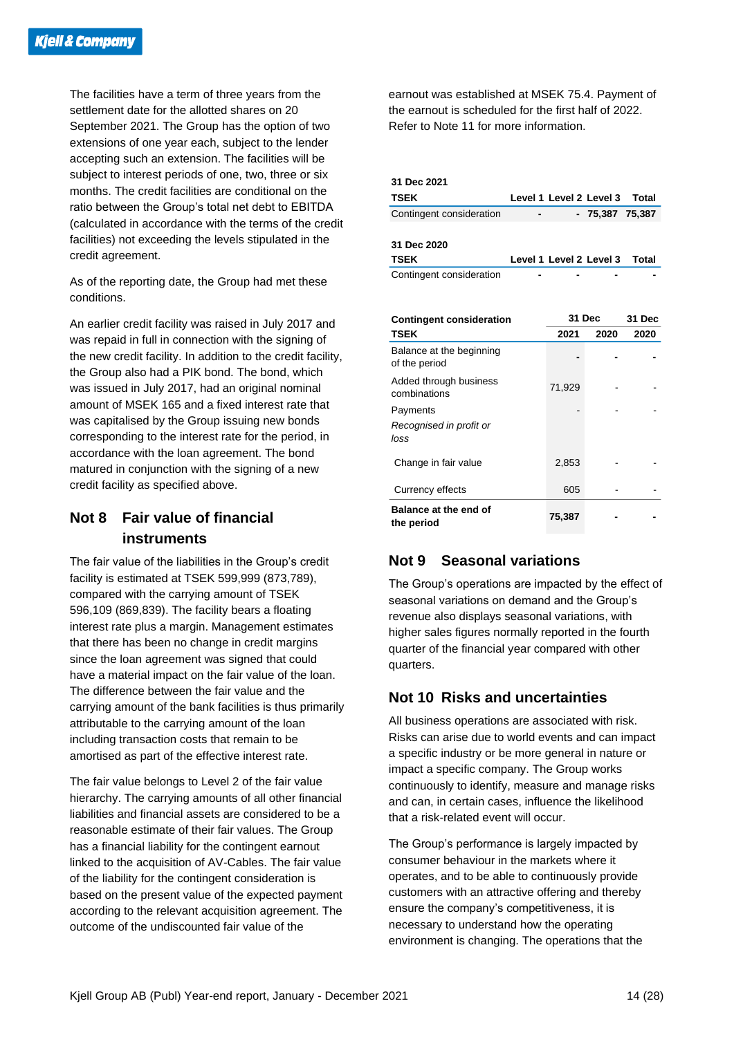The facilities have a term of three years from the settlement date for the allotted shares on 20 September 2021. The Group has the option of two extensions of one year each, subject to the lender accepting such an extension. The facilities will be subject to interest periods of one, two, three or six months. The credit facilities are conditional on the ratio between the Group's total net debt to EBITDA (calculated in accordance with the terms of the credit facilities) not exceeding the levels stipulated in the credit agreement.

As of the reporting date, the Group had met these conditions.

An earlier credit facility was raised in July 2017 and was repaid in full in connection with the signing of the new credit facility. In addition to the credit facility, the Group also had a PIK bond. The bond, which was issued in July 2017, had an original nominal amount of MSEK 165 and a fixed interest rate that was capitalised by the Group issuing new bonds corresponding to the interest rate for the period, in accordance with the loan agreement. The bond matured in conjunction with the signing of a new credit facility as specified above.

### **Not 8 Fair value of financial instruments**

The fair value of the liabilities in the Group's credit facility is estimated at TSEK 599,999 (873,789), compared with the carrying amount of TSEK 596,109 (869,839). The facility bears a floating interest rate plus a margin. Management estimates that there has been no change in credit margins since the loan agreement was signed that could have a material impact on the fair value of the loan. The difference between the fair value and the carrying amount of the bank facilities is thus primarily attributable to the carrying amount of the loan including transaction costs that remain to be amortised as part of the effective interest rate.

The fair value belongs to Level 2 of the fair value hierarchy. The carrying amounts of all other financial liabilities and financial assets are considered to be a reasonable estimate of their fair values. The Group has a financial liability for the contingent earnout linked to the acquisition of AV-Cables. The fair value of the liability for the contingent consideration is based on the present value of the expected payment according to the relevant acquisition agreement. The outcome of the undiscounted fair value of the

earnout was established at MSEK 75.4. Payment of the earnout is scheduled for the first half of 2022. Refer to Note 11 for more information.

#### **31 Dec 2021**

| <b>TSEK</b>              |                | Level 1 Level 2 Level 3 Total |                 |  |
|--------------------------|----------------|-------------------------------|-----------------|--|
| Contingent consideration | $\blacksquare$ |                               | - 75.387 75.387 |  |

**31 Dec 2020**

| TSEK                     |  | Level 1 Level 2 Level 3 Total |  |
|--------------------------|--|-------------------------------|--|
| Contingent consideration |  |                               |  |

| <b>Contingent consideration</b>           | 31 Dec | 31 Dec |      |
|-------------------------------------------|--------|--------|------|
| <b>TSEK</b>                               | 2021   | 2020   | 2020 |
| Balance at the beginning<br>of the period |        |        |      |
| Added through business<br>combinations    | 71,929 |        |      |
| Payments                                  |        |        |      |
| Recognised in profit or<br>loss           |        |        |      |
| Change in fair value                      | 2,853  |        |      |
| Currency effects                          | 605    |        |      |
| Balance at the end of<br>the period       | 75,387 |        |      |

#### **Not 9 Seasonal variations**

The Group's operations are impacted by the effect of seasonal variations on demand and the Group's revenue also displays seasonal variations, with higher sales figures normally reported in the fourth quarter of the financial year compared with other quarters.

#### **Not 10 Risks and uncertainties**

All business operations are associated with risk. Risks can arise due to world events and can impact a specific industry or be more general in nature or impact a specific company. The Group works continuously to identify, measure and manage risks and can, in certain cases, influence the likelihood that a risk-related event will occur.

The Group's performance is largely impacted by consumer behaviour in the markets where it operates, and to be able to continuously provide customers with an attractive offering and thereby ensure the company's competitiveness, it is necessary to understand how the operating environment is changing. The operations that the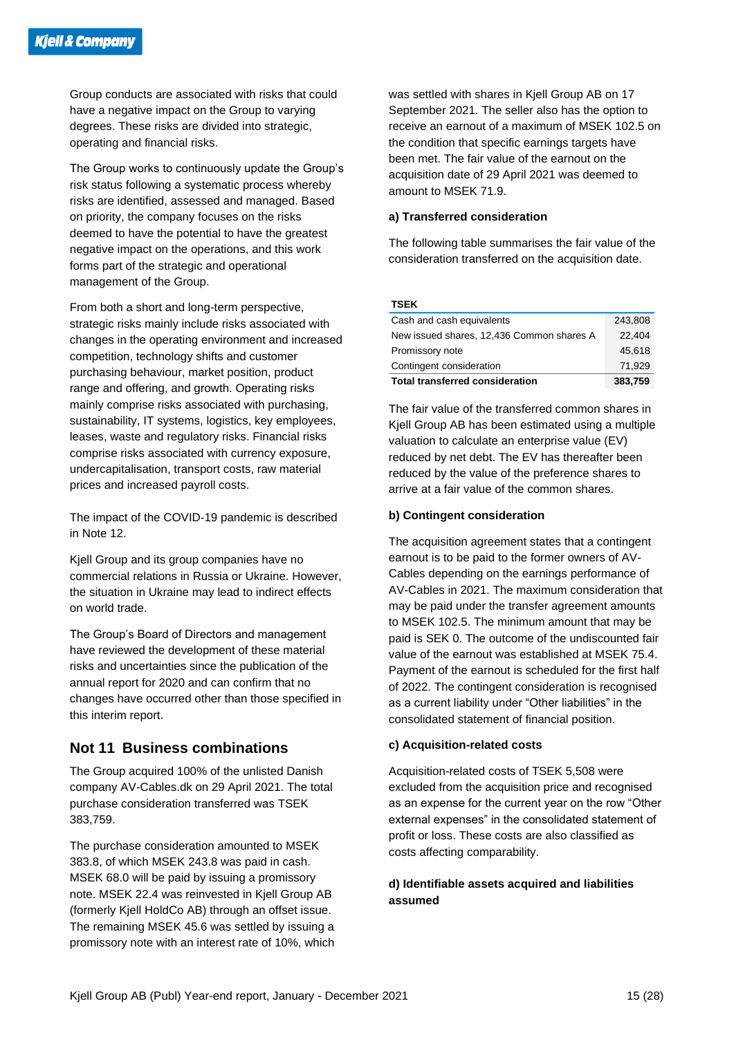Group conducts are associated with risks that could have a negative impact on the Group to varying degrees. These risks are divided into strategic, operating and financial risks.

The Group works to continuously update the Group's risk status following a systematic process whereby risks are identified, assessed and managed. Based on priority, the company focuses on the risks deemed to have the potential to have the greatest negative impact on the operations, and this work forms part of the strategic and operational management of the Group.

From both a short and long-term perspective, strategic risks mainly include risks associated with changes in the operating environment and increased competition, technology shifts and customer purchasing behaviour, market position, product range and offering, and growth. Operating risks mainly comprise risks associated with purchasing, sustainability, IT systems, logistics, key employees, leases, waste and regulatory risks. Financial risks comprise risks associated with currency exposure, undercapitalisation, transport costs, raw material prices and increased payroll costs.

The impact of the COVID-19 pandemic is described in Note 12.

Kjell Group and its group companies have no commercial relations in Russia or Ukraine. However, the situation in Ukraine may lead to indirect effects on world trade.

The Group's Board of Directors and management have reviewed the development of these material risks and uncertainties since the publication of the annual report for 2020 and can confirm that no changes have occurred other than those specified in this interim report.

#### **Not 11 Business combinations**

The Group acquired 100% of the unlisted Danish company AV-Cables.dk on 29 April 2021. The total purchase consideration transferred was TSEK 383,759.

The purchase consideration amounted to MSEK 383.8, of which MSEK 243.8 was paid in cash. MSEK 68.0 will be paid by issuing a promissory note. MSEK 22.4 was reinvested in Kjell Group AB (formerly Kjell HoldCo AB) through an offset issue. The remaining MSEK 45.6 was settled by issuing a promissory note with an interest rate of 10%, which was settled with shares in Kiell Group AB on 17 September 2021. The seller also has the option to receive an earnout of a maximum of MSEK 102.5 on the condition that specific earnings targets have been met. The fair value of the earnout on the acquisition date of 29 April 2021 was deemed to amount to MSEK 71.9.

#### **a) Transferred consideration**

The following table summarises the fair value of the consideration transferred on the acquisition date.

#### **TSEK**

| 383,759 |
|---------|
| 71.929  |
| 45.618  |
| 22,404  |
| 243,808 |
|         |

The fair value of the transferred common shares in Kjell Group AB has been estimated using a multiple valuation to calculate an enterprise value (EV) reduced by net debt. The EV has thereafter been reduced by the value of the preference shares to arrive at a fair value of the common shares.

#### **b) Contingent consideration**

The acquisition agreement states that a contingent earnout is to be paid to the former owners of AV-Cables depending on the earnings performance of AV-Cables in 2021. The maximum consideration that may be paid under the transfer agreement amounts to MSEK 102.5. The minimum amount that may be paid is SEK 0. The outcome of the undiscounted fair value of the earnout was established at MSEK 75.4. Payment of the earnout is scheduled for the first half of 2022. The contingent consideration is recognised as a current liability under "Other liabilities" in the consolidated statement of financial position.

#### **c) Acquisition-related costs**

Acquisition-related costs of TSEK 5,508 were excluded from the acquisition price and recognised as an expense for the current year on the row "Other external expenses" in the consolidated statement of profit or loss. These costs are also classified as costs affecting comparability.

#### **d) Identifiable assets acquired and liabilities assumed**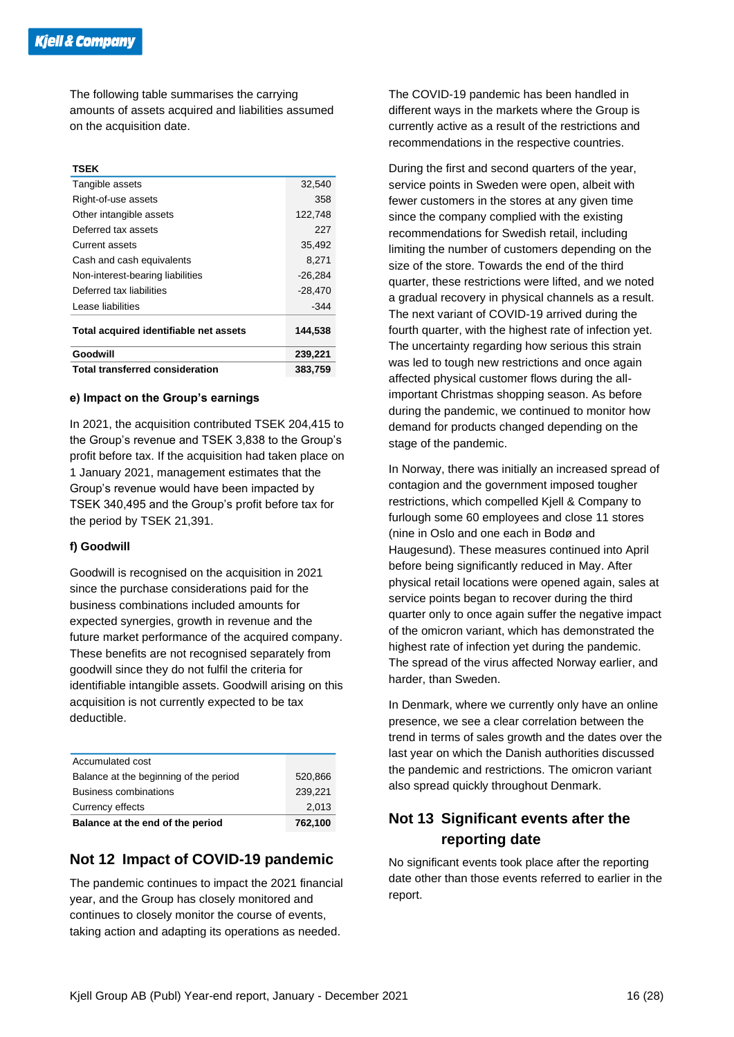The following table summarises the carrying amounts of assets acquired and liabilities assumed on the acquisition date.

| TSEK                                   |           |
|----------------------------------------|-----------|
| Tangible assets                        | 32,540    |
| Right-of-use assets                    | 358       |
| Other intangible assets                | 122,748   |
| Deferred tax assets                    | 227       |
| Current assets                         | 35,492    |
| Cash and cash equivalents              | 8,271     |
| Non-interest-bearing liabilities       | $-26,284$ |
| Deferred tax liabilities               | -28,470   |
| Lease liabilities                      | $-344$    |
| Total acquired identifiable net assets | 144,538   |
| Goodwill                               | 239,221   |
| <b>Total transferred consideration</b> | 383,759   |

#### **e) Impact on the Group's earnings**

In 2021, the acquisition contributed TSEK 204,415 to the Group's revenue and TSEK 3,838 to the Group's profit before tax. If the acquisition had taken place on 1 January 2021, management estimates that the Group's revenue would have been impacted by TSEK 340,495 and the Group's profit before tax for the period by TSEK 21,391.

#### **f) Goodwill**

Goodwill is recognised on the acquisition in 2021 since the purchase considerations paid for the business combinations included amounts for expected synergies, growth in revenue and the future market performance of the acquired company. These benefits are not recognised separately from goodwill since they do not fulfil the criteria for identifiable intangible assets. Goodwill arising on this acquisition is not currently expected to be tax deductible.

| Accumulated cost                       |         |
|----------------------------------------|---------|
| Balance at the beginning of the period | 520,866 |
| <b>Business combinations</b>           | 239.221 |
| Currency effects                       | 2.013   |
| Balance at the end of the period       | 762,100 |

#### **Not 12 Impact of COVID-19 pandemic**

The pandemic continues to impact the 2021 financial year, and the Group has closely monitored and continues to closely monitor the course of events, taking action and adapting its operations as needed.

The COVID-19 pandemic has been handled in different ways in the markets where the Group is currently active as a result of the restrictions and recommendations in the respective countries.

During the first and second quarters of the year, service points in Sweden were open, albeit with fewer customers in the stores at any given time since the company complied with the existing recommendations for Swedish retail, including limiting the number of customers depending on the size of the store. Towards the end of the third quarter, these restrictions were lifted, and we noted a gradual recovery in physical channels as a result. The next variant of COVID-19 arrived during the fourth quarter, with the highest rate of infection yet. The uncertainty regarding how serious this strain was led to tough new restrictions and once again affected physical customer flows during the allimportant Christmas shopping season. As before during the pandemic, we continued to monitor how demand for products changed depending on the stage of the pandemic.

In Norway, there was initially an increased spread of contagion and the government imposed tougher restrictions, which compelled Kjell & Company to furlough some 60 employees and close 11 stores (nine in Oslo and one each in Bodø and Haugesund). These measures continued into April before being significantly reduced in May. After physical retail locations were opened again, sales at service points began to recover during the third quarter only to once again suffer the negative impact of the omicron variant, which has demonstrated the highest rate of infection yet during the pandemic. The spread of the virus affected Norway earlier, and harder, than Sweden.

In Denmark, where we currently only have an online presence, we see a clear correlation between the trend in terms of sales growth and the dates over the last year on which the Danish authorities discussed the pandemic and restrictions. The omicron variant also spread quickly throughout Denmark.

#### **Not 13 Significant events after the reporting date**

No significant events took place after the reporting date other than those events referred to earlier in the report.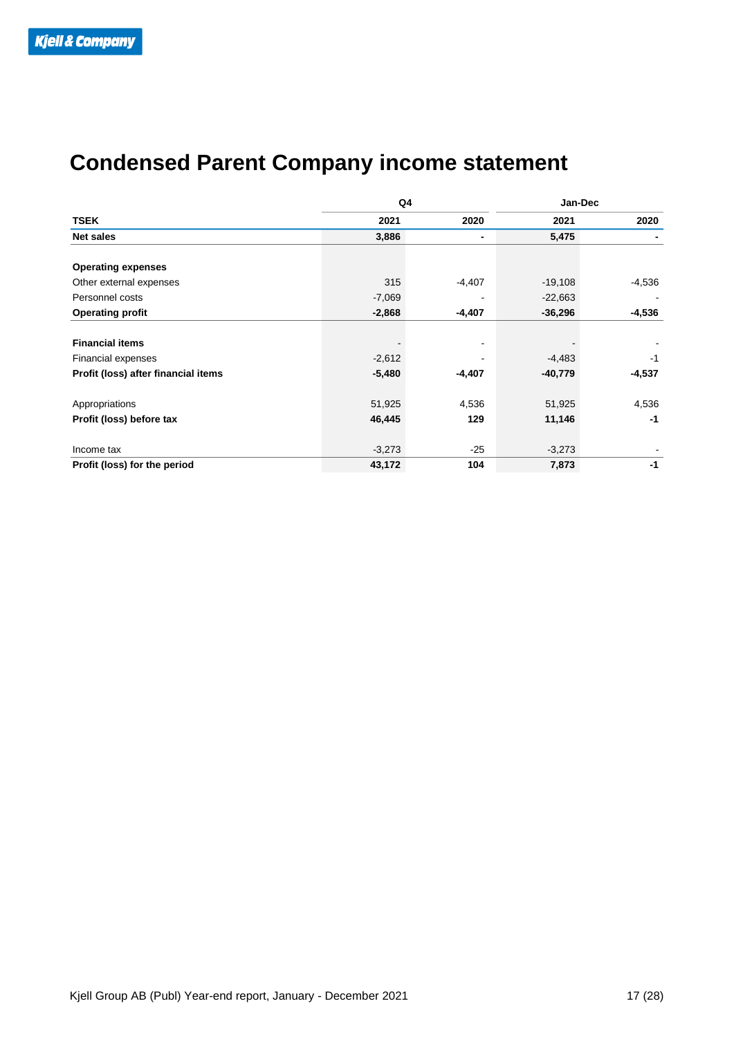## **Condensed Parent Company income statement**

|                                     |          | Q4       | Jan-Dec   |          |  |
|-------------------------------------|----------|----------|-----------|----------|--|
| <b>TSEK</b>                         | 2021     | 2020     | 2021      | 2020     |  |
| <b>Net sales</b>                    | 3,886    | ٠        | 5,475     |          |  |
| <b>Operating expenses</b>           |          |          |           |          |  |
| Other external expenses             | 315      | $-4,407$ | $-19,108$ | $-4,536$ |  |
| Personnel costs                     | $-7,069$ |          | $-22,663$ |          |  |
| <b>Operating profit</b>             | $-2,868$ | $-4,407$ | $-36,296$ | $-4,536$ |  |
| <b>Financial items</b>              |          |          |           |          |  |
| Financial expenses                  | $-2,612$ |          | $-4,483$  | $-1$     |  |
| Profit (loss) after financial items | $-5,480$ | $-4,407$ | $-40,779$ | $-4,537$ |  |
| Appropriations                      | 51,925   | 4,536    | 51,925    | 4,536    |  |
| Profit (loss) before tax            | 46,445   | 129      | 11,146    | -1       |  |
| Income tax                          | $-3,273$ | $-25$    | $-3,273$  |          |  |
| Profit (loss) for the period        | 43,172   | 104      | 7,873     | $-1$     |  |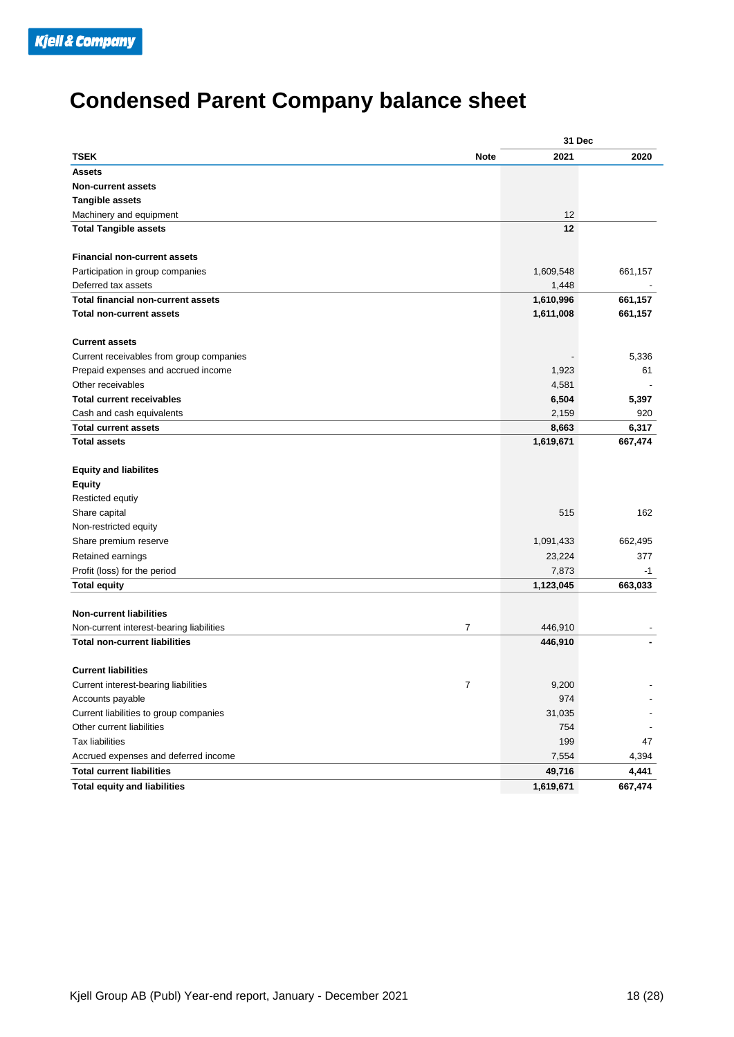## **Condensed Parent Company balance sheet**

|                                               |           | 31 Dec  |
|-----------------------------------------------|-----------|---------|
| <b>TSEK</b><br><b>Note</b>                    | 2021      | 2020    |
| <b>Assets</b>                                 |           |         |
| <b>Non-current assets</b>                     |           |         |
| <b>Tangible assets</b>                        |           |         |
| Machinery and equipment                       | 12        |         |
| <b>Total Tangible assets</b>                  | 12        |         |
| <b>Financial non-current assets</b>           |           |         |
| Participation in group companies              | 1,609,548 | 661,157 |
| Deferred tax assets                           | 1,448     |         |
| Total financial non-current assets            | 1,610,996 | 661,157 |
| <b>Total non-current assets</b>               | 1,611,008 | 661,157 |
| <b>Current assets</b>                         |           |         |
| Current receivables from group companies      |           | 5,336   |
| Prepaid expenses and accrued income           | 1,923     | 61      |
| Other receivables                             | 4,581     |         |
| <b>Total current receivables</b>              | 6,504     | 5,397   |
| Cash and cash equivalents                     | 2,159     | 920     |
| <b>Total current assets</b>                   | 8,663     | 6,317   |
| <b>Total assets</b>                           | 1,619,671 | 667,474 |
| <b>Equity and liabilites</b>                  |           |         |
| <b>Equity</b>                                 |           |         |
| Resticted equtiy                              |           |         |
| Share capital                                 | 515       | 162     |
| Non-restricted equity                         |           |         |
| Share premium reserve                         | 1,091,433 | 662,495 |
| Retained earnings                             | 23,224    | 377     |
| Profit (loss) for the period                  | 7,873     | -1      |
| <b>Total equity</b>                           | 1,123,045 | 663,033 |
|                                               |           |         |
| <b>Non-current liabilities</b>                |           |         |
| 7<br>Non-current interest-bearing liabilities | 446,910   |         |
| <b>Total non-current liabilities</b>          | 446,910   |         |
| <b>Current liabilities</b>                    |           |         |
| Current interest-bearing liabilities<br>7     | 9,200     |         |
| Accounts payable                              | 974       |         |
| Current liabilities to group companies        | 31,035    |         |
| Other current liabilities                     | 754       |         |
| <b>Tax liabilities</b>                        | 199       | 47      |
| Accrued expenses and deferred income          | 7,554     | 4,394   |
| <b>Total current liabilities</b>              | 49,716    | 4,441   |
| <b>Total equity and liabilities</b>           | 1,619,671 | 667,474 |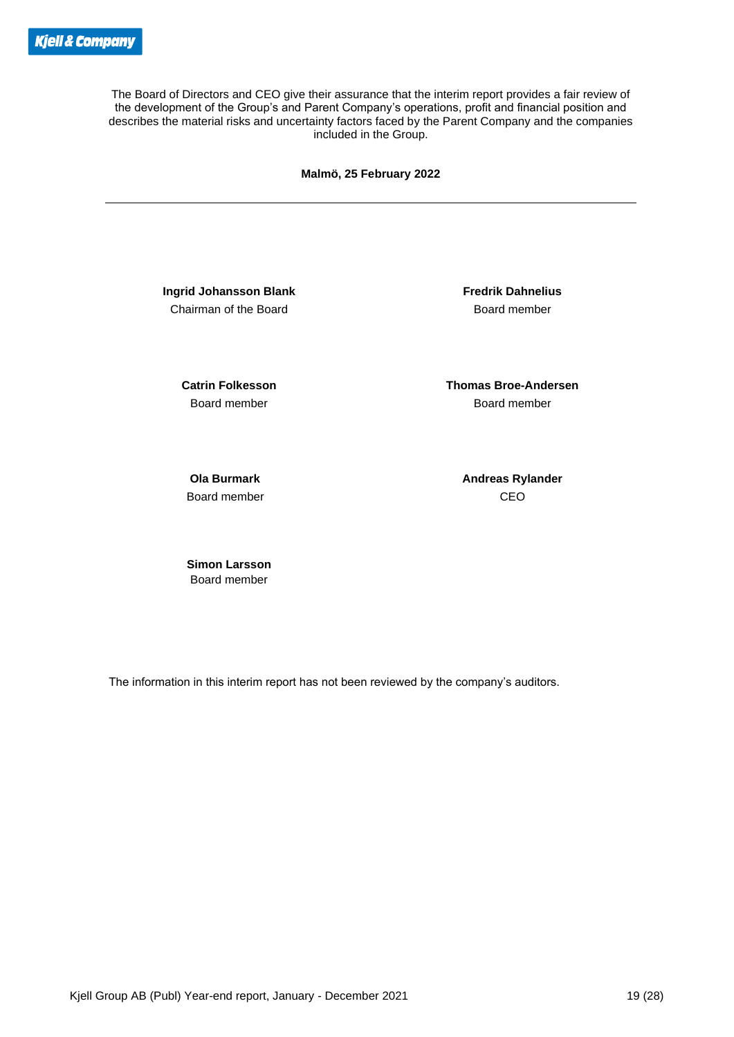The Board of Directors and CEO give their assurance that the interim report provides a fair review of the development of the Group's and Parent Company's operations, profit and financial position and describes the material risks and uncertainty factors faced by the Parent Company and the companies included in the Group.

**Malmö, 25 February 2022**

**Ingrid Johansson Blank Fredrik Dahnelius** Chairman of the Board **Board Board member** 

**Catrin Folkesson Thomas Broe-Andersen** Board member Board member

Board member CEO

**Ola Burmark Andreas Rylander** 

**Simon Larsson** Board member

The information in this interim report has not been reviewed by the company's auditors.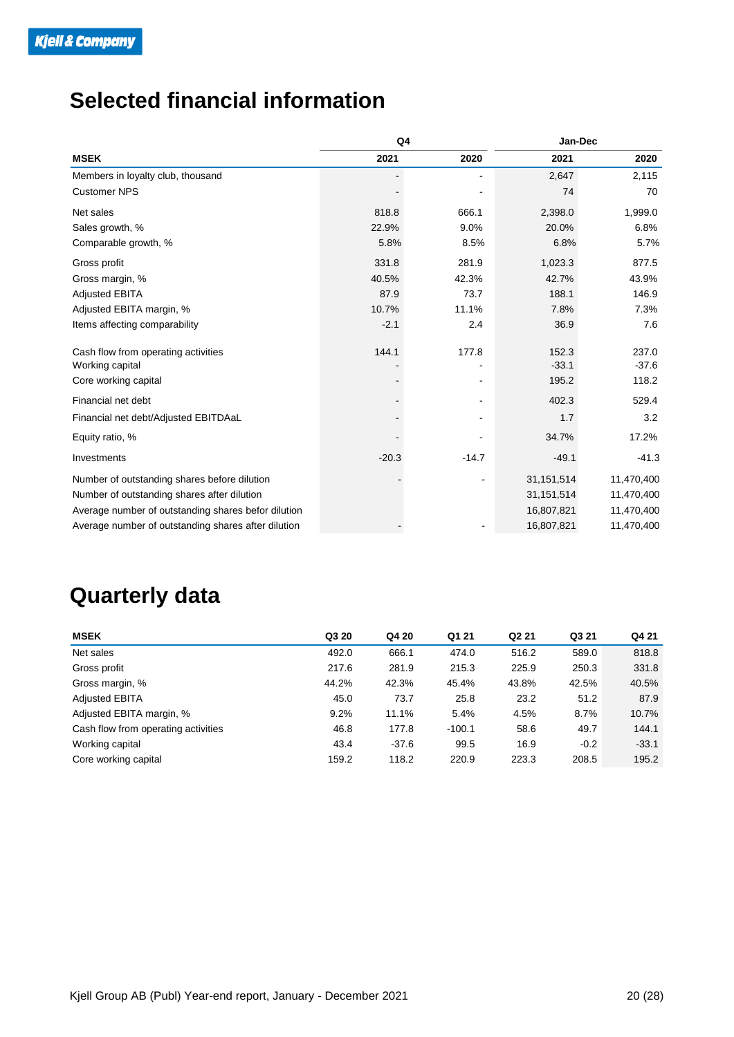## **Selected financial information**

|                                                                                | Q4      |                          | Jan-Dec                   |                           |  |
|--------------------------------------------------------------------------------|---------|--------------------------|---------------------------|---------------------------|--|
| <b>MSEK</b>                                                                    | 2021    | 2020                     | 2021                      | 2020                      |  |
| Members in loyalty club, thousand                                              |         |                          | 2,647                     | 2,115                     |  |
| <b>Customer NPS</b>                                                            |         |                          | 74                        | 70                        |  |
| Net sales                                                                      | 818.8   | 666.1                    | 2,398.0                   | 1,999.0                   |  |
| Sales growth, %                                                                | 22.9%   | 9.0%                     | 20.0%                     | 6.8%                      |  |
| Comparable growth, %                                                           | 5.8%    | 8.5%                     | 6.8%                      | 5.7%                      |  |
| Gross profit                                                                   | 331.8   | 281.9                    | 1,023.3                   | 877.5                     |  |
| Gross margin, %                                                                | 40.5%   | 42.3%                    | 42.7%                     | 43.9%                     |  |
| <b>Adjusted EBITA</b>                                                          | 87.9    | 73.7                     | 188.1                     | 146.9                     |  |
| Adjusted EBITA margin, %                                                       | 10.7%   | 11.1%                    | 7.8%                      | 7.3%                      |  |
| Items affecting comparability                                                  | $-2.1$  | 2.4                      | 36.9                      | 7.6                       |  |
| Cash flow from operating activities<br>Working capital<br>Core working capital | 144.1   | 177.8                    | 152.3<br>$-33.1$<br>195.2 | 237.0<br>$-37.6$<br>118.2 |  |
| Financial net debt                                                             |         |                          | 402.3                     | 529.4                     |  |
| Financial net debt/Adjusted EBITDAaL                                           |         |                          | 1.7                       | 3.2                       |  |
| Equity ratio, %                                                                |         |                          | 34.7%                     | 17.2%                     |  |
| Investments                                                                    | $-20.3$ | $-14.7$                  | $-49.1$                   | $-41.3$                   |  |
| Number of outstanding shares before dilution                                   |         | $\overline{\phantom{a}}$ | 31, 151, 514              | 11,470,400                |  |
| Number of outstanding shares after dilution                                    |         |                          | 31, 151, 514              | 11,470,400                |  |
| Average number of outstanding shares befor dilution                            |         |                          | 16,807,821                | 11,470,400                |  |
| Average number of outstanding shares after dilution                            |         |                          | 16,807,821                | 11,470,400                |  |

## **Quarterly data**

| <b>MSEK</b>                         | Q3 20 | Q4 20   | Q1 21    | Q <sub>2</sub> 21 | Q3 21  | Q4 21   |
|-------------------------------------|-------|---------|----------|-------------------|--------|---------|
| Net sales                           | 492.0 | 666.1   | 474.0    | 516.2             | 589.0  | 818.8   |
| Gross profit                        | 217.6 | 281.9   | 215.3    | 225.9             | 250.3  | 331.8   |
| Gross margin, %                     | 44.2% | 42.3%   | 45.4%    | 43.8%             | 42.5%  | 40.5%   |
| <b>Adjusted EBITA</b>               | 45.0  | 73.7    | 25.8     | 23.2              | 51.2   | 87.9    |
| Adjusted EBITA margin, %            | 9.2%  | 11.1%   | 5.4%     | 4.5%              | 8.7%   | 10.7%   |
| Cash flow from operating activities | 46.8  | 177.8   | $-100.1$ | 58.6              | 49.7   | 144.1   |
| Working capital                     | 43.4  | $-37.6$ | 99.5     | 16.9              | $-0.2$ | $-33.1$ |
| Core working capital                | 159.2 | 118.2   | 220.9    | 223.3             | 208.5  | 195.2   |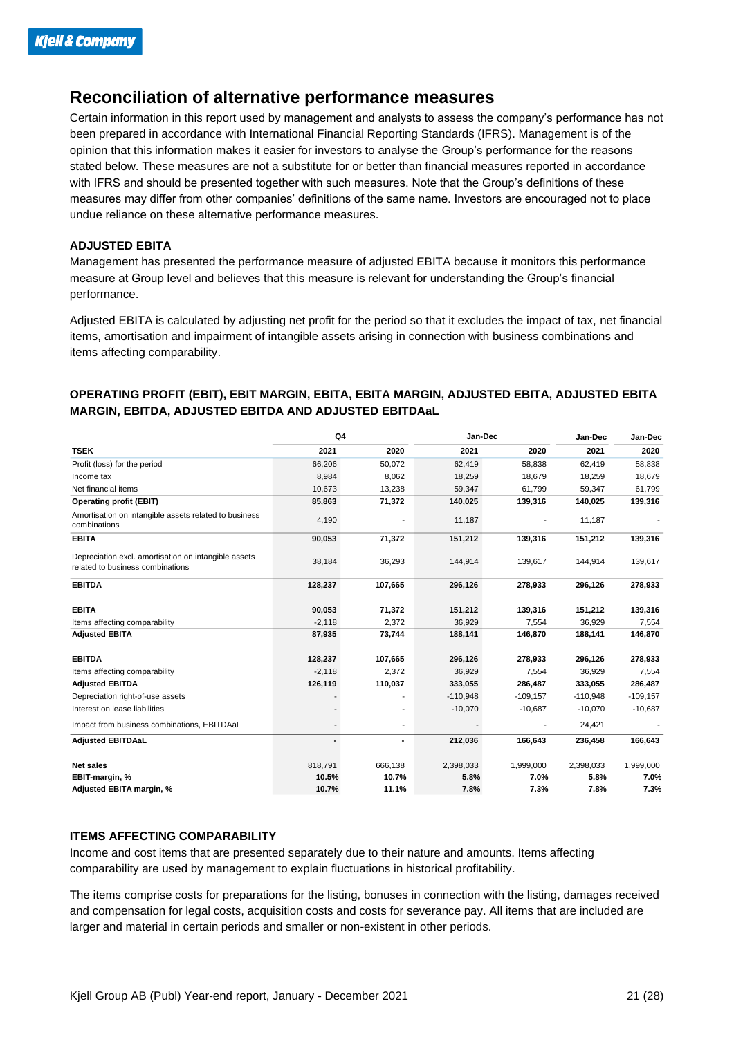### **Reconciliation of alternative performance measures**

Certain information in this report used by management and analysts to assess the company's performance has not been prepared in accordance with International Financial Reporting Standards (IFRS). Management is of the opinion that this information makes it easier for investors to analyse the Group's performance for the reasons stated below. These measures are not a substitute for or better than financial measures reported in accordance with IFRS and should be presented together with such measures. Note that the Group's definitions of these measures may differ from other companies' definitions of the same name. Investors are encouraged not to place undue reliance on these alternative performance measures.

#### **ADJUSTED EBITA**

Management has presented the performance measure of adjusted EBITA because it monitors this performance measure at Group level and believes that this measure is relevant for understanding the Group's financial performance.

Adjusted EBITA is calculated by adjusting net profit for the period so that it excludes the impact of tax, net financial items, amortisation and impairment of intangible assets arising in connection with business combinations and items affecting comparability.

#### **OPERATING PROFIT (EBIT), EBIT MARGIN, EBITA, EBITA MARGIN, ADJUSTED EBITA, ADJUSTED EBITA MARGIN, EBITDA, ADJUSTED EBITDA AND ADJUSTED EBITDAaL**

|                                                                                          | Q <sub>4</sub> |         | Jan-Dec    |             | Jan-Dec    | Jan-Dec     |
|------------------------------------------------------------------------------------------|----------------|---------|------------|-------------|------------|-------------|
| <b>TSEK</b>                                                                              | 2021           | 2020    | 2021       | 2020        | 2021       | 2020        |
| Profit (loss) for the period                                                             | 66,206         | 50,072  | 62,419     | 58,838      | 62,419     | 58,838      |
| Income tax                                                                               | 8.984          | 8,062   | 18,259     | 18.679      | 18,259     | 18,679      |
| Net financial items                                                                      | 10.673         | 13,238  | 59,347     | 61.799      | 59,347     | 61,799      |
| <b>Operating profit (EBIT)</b>                                                           | 85,863         | 71,372  | 140,025    | 139,316     | 140,025    | 139,316     |
| Amortisation on intangible assets related to business<br>combinations                    | 4,190          |         | 11,187     |             | 11,187     |             |
| <b>EBITA</b>                                                                             | 90,053         | 71,372  | 151,212    | 139,316     | 151,212    | 139,316     |
| Depreciation excl. amortisation on intangible assets<br>related to business combinations | 38,184         | 36,293  | 144,914    | 139,617     | 144,914    | 139,617     |
| <b>EBITDA</b>                                                                            | 128,237        | 107,665 | 296,126    | 278,933     | 296,126    | 278,933     |
| <b>EBITA</b>                                                                             | 90,053         | 71,372  | 151,212    | 139,316     | 151,212    | 139,316     |
| Items affecting comparability                                                            | $-2,118$       | 2,372   | 36,929     | 7,554       | 36,929     | 7,554       |
| <b>Adjusted EBITA</b>                                                                    | 87,935         | 73,744  | 188,141    | 146,870     | 188,141    | 146,870     |
| <b>EBITDA</b>                                                                            | 128,237        | 107,665 | 296,126    | 278,933     | 296,126    | 278,933     |
| Items affecting comparability                                                            | $-2,118$       | 2,372   | 36,929     | 7,554       | 36,929     | 7,554       |
| <b>Adjusted EBITDA</b>                                                                   | 126,119        | 110,037 | 333,055    | 286,487     | 333,055    | 286,487     |
| Depreciation right-of-use assets                                                         |                |         | $-110,948$ | $-109, 157$ | $-110,948$ | $-109, 157$ |
| Interest on lease liabilities                                                            |                |         | $-10,070$  | $-10,687$   | $-10,070$  | $-10,687$   |
| Impact from business combinations, EBITDAaL                                              |                |         |            |             | 24,421     |             |
| <b>Adjusted EBITDAaL</b>                                                                 |                |         | 212,036    | 166,643     | 236,458    | 166,643     |
| <b>Net sales</b>                                                                         | 818,791        | 666,138 | 2,398,033  | 1,999,000   | 2,398,033  | 1,999,000   |
| EBIT-margin, %                                                                           | 10.5%          | 10.7%   | 5.8%       | 7.0%        | 5.8%       | 7.0%        |
| Adjusted EBITA margin, %                                                                 | 10.7%          | 11.1%   | 7.8%       | 7.3%        | 7.8%       | 7.3%        |

#### **ITEMS AFFECTING COMPARABILITY**

Income and cost items that are presented separately due to their nature and amounts. Items affecting comparability are used by management to explain fluctuations in historical profitability.

The items comprise costs for preparations for the listing, bonuses in connection with the listing, damages received and compensation for legal costs, acquisition costs and costs for severance pay. All items that are included are larger and material in certain periods and smaller or non-existent in other periods.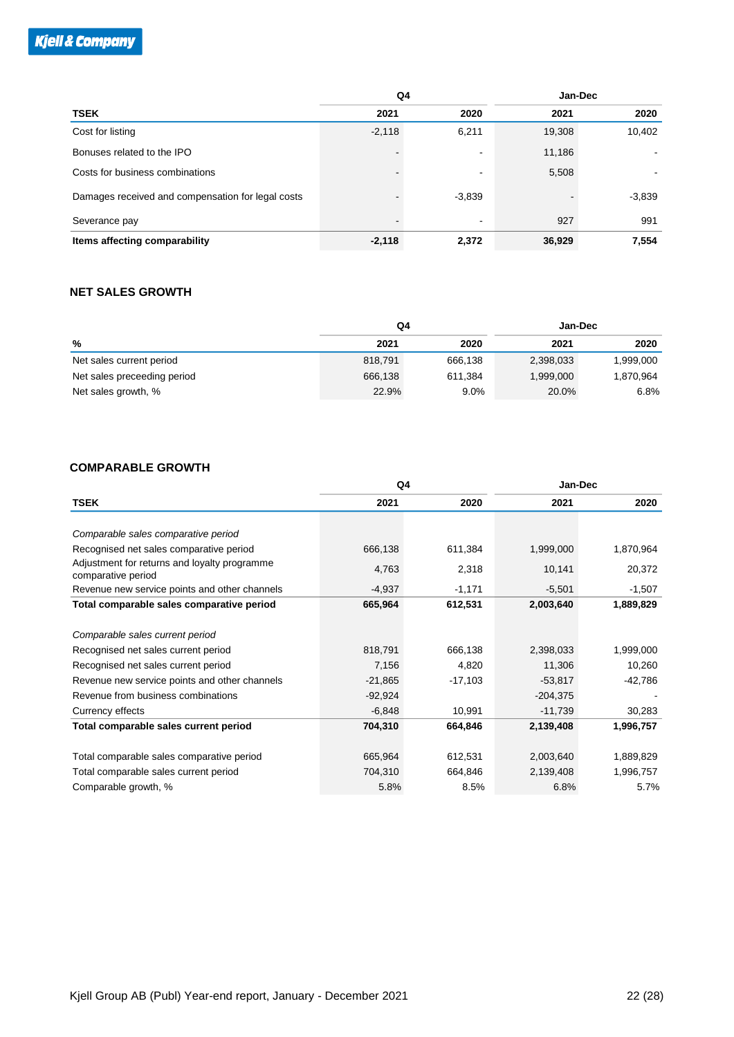|                                                   |          | Q4       |        | Jan-Dec  |
|---------------------------------------------------|----------|----------|--------|----------|
| <b>TSEK</b>                                       | 2021     | 2020     | 2021   | 2020     |
| Cost for listing                                  | $-2,118$ | 6,211    | 19,308 | 10,402   |
| Bonuses related to the IPO                        |          | ۰.       | 11,186 |          |
| Costs for business combinations                   |          | ۰.       | 5,508  |          |
| Damages received and compensation for legal costs |          | $-3,839$ |        | $-3,839$ |
| Severance pay                                     |          | ۰        | 927    | 991      |
| Items affecting comparability                     | $-2,118$ | 2,372    | 36,929 | 7,554    |

#### **NET SALES GROWTH**

|                             | Q4      |         | Jan-Dec   |           |
|-----------------------------|---------|---------|-----------|-----------|
| %                           | 2021    | 2020    | 2021      | 2020      |
| Net sales current period    | 818,791 | 666,138 | 2,398,033 | 1,999,000 |
| Net sales preceeding period | 666,138 | 611.384 | 1,999,000 | 1,870,964 |
| Net sales growth, %         | 22.9%   | 9.0%    | 20.0%     | 6.8%      |

#### **COMPARABLE GROWTH**

|                                                                    |           | Q4        |            | Jan-Dec   |
|--------------------------------------------------------------------|-----------|-----------|------------|-----------|
| <b>TSEK</b>                                                        | 2021      | 2020      | 2021       | 2020      |
|                                                                    |           |           |            |           |
| Comparable sales comparative period                                |           |           |            |           |
| Recognised net sales comparative period                            | 666,138   | 611,384   | 1,999,000  | 1,870,964 |
| Adjustment for returns and loyalty programme<br>comparative period | 4,763     | 2,318     | 10,141     | 20,372    |
| Revenue new service points and other channels                      | $-4,937$  | $-1,171$  | $-5,501$   | $-1,507$  |
| Total comparable sales comparative period                          | 665,964   | 612,531   | 2,003,640  | 1,889,829 |
|                                                                    |           |           |            |           |
| Comparable sales current period                                    |           |           |            |           |
| Recognised net sales current period                                | 818,791   | 666,138   | 2,398,033  | 1,999,000 |
| Recognised net sales current period                                | 7,156     | 4,820     | 11,306     | 10,260    |
| Revenue new service points and other channels                      | $-21,865$ | $-17,103$ | $-53,817$  | -42,786   |
| Revenue from business combinations                                 | $-92,924$ |           | $-204,375$ |           |
| Currency effects                                                   | $-6,848$  | 10,991    | $-11,739$  | 30,283    |
| Total comparable sales current period                              | 704,310   | 664,846   | 2,139,408  | 1,996,757 |
|                                                                    |           |           |            |           |
| Total comparable sales comparative period                          | 665,964   | 612,531   | 2,003,640  | 1,889,829 |
| Total comparable sales current period                              | 704,310   | 664,846   | 2,139,408  | 1,996,757 |
| Comparable growth, %                                               | 5.8%      | 8.5%      | 6.8%       | 5.7%      |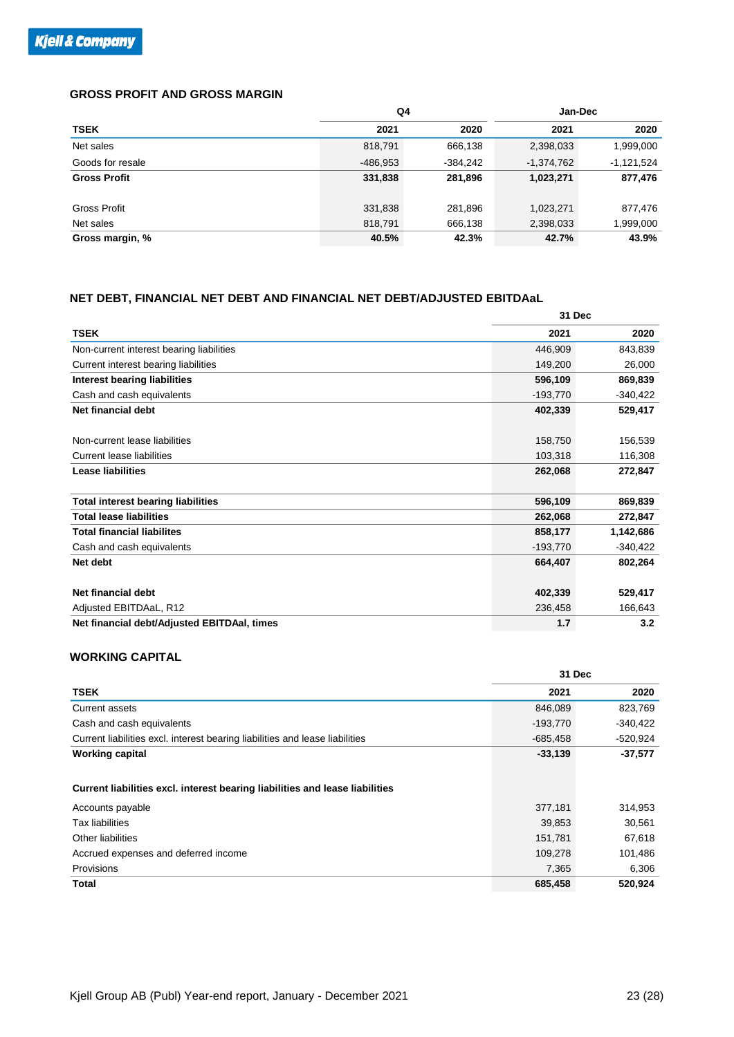#### **GROSS PROFIT AND GROSS MARGIN**

|                                                                       | Q4       |            | Jan-Dec      |              |
|-----------------------------------------------------------------------|----------|------------|--------------|--------------|
| <b>TSEK</b>                                                           | 2021     | 2020       | 2021         | 2020         |
| Net sales                                                             | 818,791  | 666,138    | 2,398,033    | 1,999,000    |
| Goods for resale                                                      | -486,953 | $-384,242$ | $-1,374,762$ | $-1,121,524$ |
| <b>Gross Profit</b>                                                   | 331,838  | 281,896    | 1,023,271    | 877,476      |
| <b>Gross Profit</b>                                                   | 331,838  | 281,896    | 1,023,271    | 877,476      |
| Net sales                                                             | 818,791  | 666,138    | 2,398,033    | 1,999,000    |
| Gross margin, %                                                       | 40.5%    | 42.3%      | 42.7%        | 43.9%        |
|                                                                       |          |            |              |              |
| NET DEBT, FINANCIAL NET DEBT AND FINANCIAL NET DEBT/ADJUSTED EBITDAaL |          |            |              |              |
|                                                                       |          |            | 31 Dec       |              |
| <b>TSEK</b>                                                           |          |            | 2021         | 2020         |

#### **NET DEBT, FINANCIAL NET DEBT AND FINANCIAL NET DEBT/ADJUSTED EBITDAaL**

|                                             | 31 Dec     |            |  |
|---------------------------------------------|------------|------------|--|
| <b>TSEK</b>                                 | 2021       | 2020       |  |
| Non-current interest bearing liabilities    | 446,909    | 843,839    |  |
| Current interest bearing liabilities        | 149,200    | 26,000     |  |
| <b>Interest bearing liabilities</b>         | 596,109    | 869,839    |  |
| Cash and cash equivalents                   | $-193,770$ | $-340,422$ |  |
| <b>Net financial debt</b>                   | 402,339    | 529,417    |  |
| Non-current lease liabilities               | 158,750    | 156,539    |  |
| Current lease liabilities                   | 103,318    | 116,308    |  |
| <b>Lease liabilities</b>                    | 262,068    | 272,847    |  |
| <b>Total interest bearing liabilities</b>   | 596,109    | 869,839    |  |
| <b>Total lease liabilities</b>              | 262,068    | 272,847    |  |
| <b>Total financial liabilites</b>           | 858,177    | 1,142,686  |  |
| Cash and cash equivalents                   | $-193,770$ | $-340,422$ |  |
| Net debt                                    | 664,407    | 802,264    |  |
| Net financial debt                          | 402,339    | 529,417    |  |
| Adjusted EBITDAaL, R12                      | 236,458    | 166,643    |  |
| Net financial debt/Adjusted EBITDAal, times | 1.7        | 3.2        |  |

#### **WORKING CAPITAL**

|                                                                              | 31 Dec     |            |
|------------------------------------------------------------------------------|------------|------------|
| <b>TSEK</b>                                                                  | 2021       | 2020       |
| <b>Current assets</b>                                                        | 846,089    | 823,769    |
| Cash and cash equivalents                                                    | $-193,770$ | $-340,422$ |
| Current liabilities excl. interest bearing liabilities and lease liabilities | $-685,458$ | $-520,924$ |
| <b>Working capital</b>                                                       | $-33,139$  | $-37,577$  |
|                                                                              |            |            |
| Current liabilities excl. interest bearing liabilities and lease liabilities |            |            |
| Accounts payable                                                             | 377,181    | 314,953    |
| Tax liabilities                                                              | 39,853     | 30,561     |
| Other liabilities                                                            | 151,781    | 67,618     |
| Accrued expenses and deferred income                                         | 109,278    | 101,486    |
| Provisions                                                                   | 7,365      | 6,306      |
| <b>Total</b>                                                                 | 685,458    | 520,924    |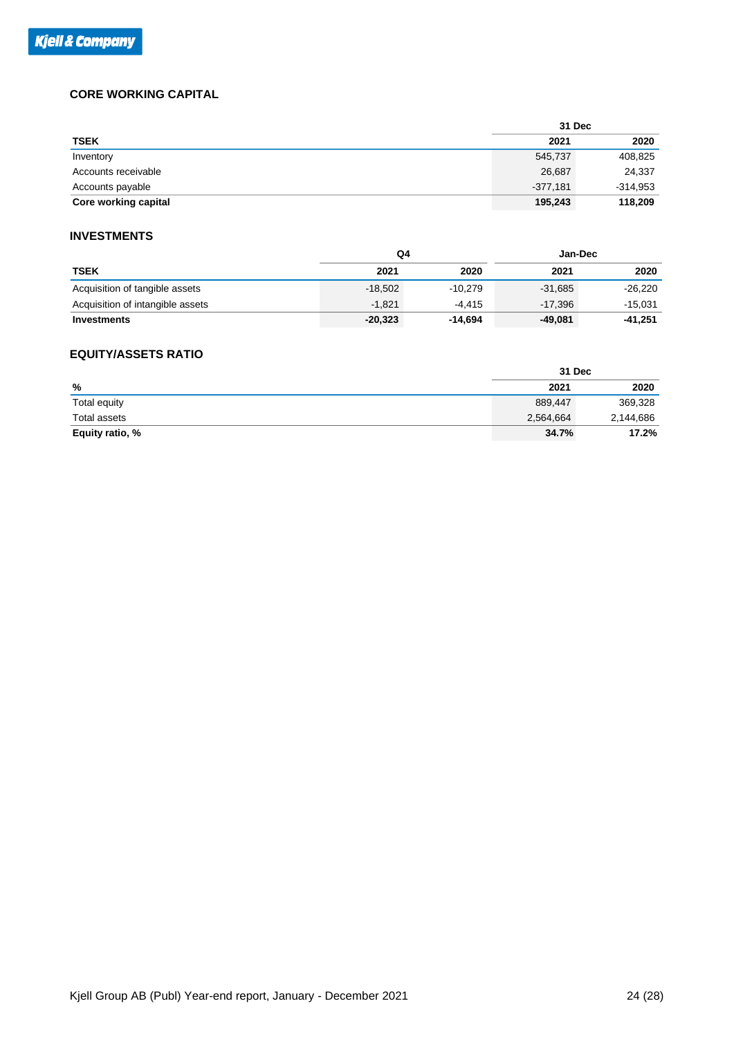#### **CORE WORKING CAPITAL**

|                             | 31 Dec     |            |
|-----------------------------|------------|------------|
| <b>TSEK</b>                 | 2021       | 2020       |
| Inventory                   | 545,737    | 408,825    |
| Accounts receivable         | 26,687     | 24,337     |
| Accounts payable            | $-377,181$ | $-314,953$ |
| <b>Core working capital</b> | 195,243    | 118,209    |

#### **INVESTMENTS**

|                                  | Q4        |           | Jan-Dec   |           |
|----------------------------------|-----------|-----------|-----------|-----------|
| <b>TSEK</b>                      | 2021      | 2020      | 2021      | 2020      |
| Acquisition of tangible assets   | $-18.502$ | $-10.279$ | $-31,685$ | $-26.220$ |
| Acquisition of intangible assets | $-1.821$  | $-4.415$  | -17.396   | $-15.031$ |
| Investments                      | $-20,323$ | -14.694   | -49.081   | -41.251   |

#### **EQUITY/ASSETS RATIO**

|                 | 31 Dec    |           |
|-----------------|-----------|-----------|
| %               | 2021      | 2020      |
| Total equity    | 889,447   | 369,328   |
| Total assets    | 2,564,664 | 2,144,686 |
| Equity ratio, % | 34.7%     | 17.2%     |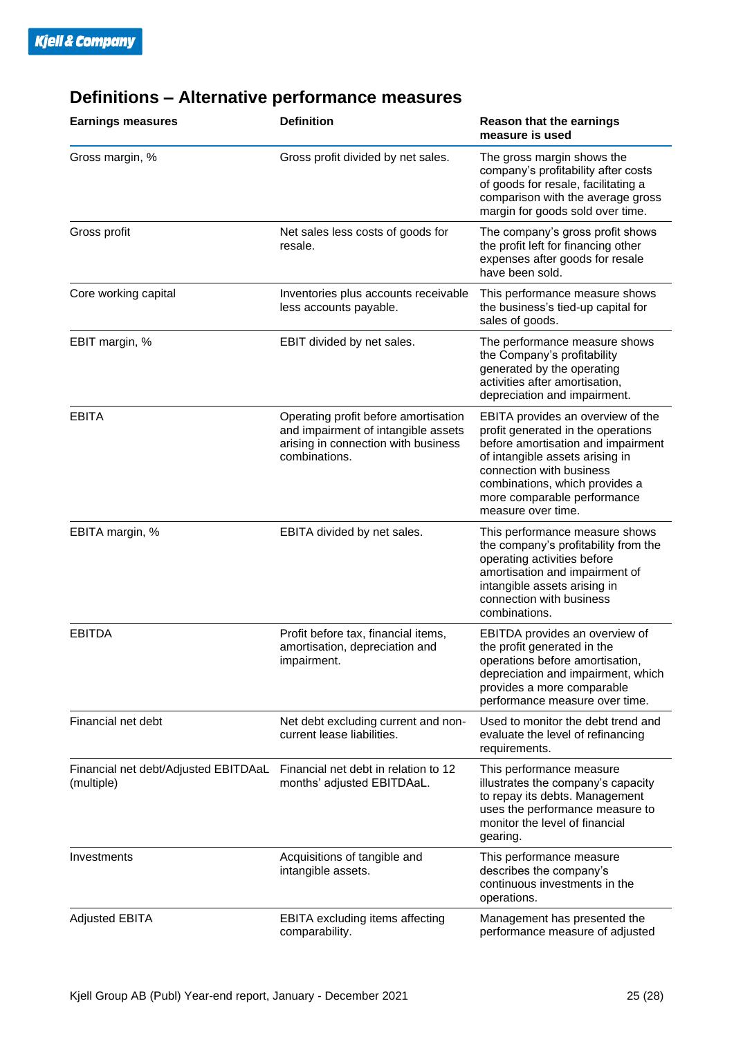| <b>Earnings measures</b>                           | <b>Definition</b>                                                                                                                   | <b>Reason that the earnings</b><br>measure is used                                                                                                                                                                                                                  |
|----------------------------------------------------|-------------------------------------------------------------------------------------------------------------------------------------|---------------------------------------------------------------------------------------------------------------------------------------------------------------------------------------------------------------------------------------------------------------------|
| Gross margin, %                                    | Gross profit divided by net sales.                                                                                                  | The gross margin shows the<br>company's profitability after costs<br>of goods for resale, facilitating a<br>comparison with the average gross<br>margin for goods sold over time.                                                                                   |
| Gross profit                                       | Net sales less costs of goods for<br>resale.                                                                                        | The company's gross profit shows<br>the profit left for financing other<br>expenses after goods for resale<br>have been sold.                                                                                                                                       |
| Core working capital                               | Inventories plus accounts receivable<br>less accounts payable.                                                                      | This performance measure shows<br>the business's tied-up capital for<br>sales of goods.                                                                                                                                                                             |
| EBIT margin, %                                     | EBIT divided by net sales.                                                                                                          | The performance measure shows<br>the Company's profitability<br>generated by the operating<br>activities after amortisation,<br>depreciation and impairment.                                                                                                        |
| <b>EBITA</b>                                       | Operating profit before amortisation<br>and impairment of intangible assets<br>arising in connection with business<br>combinations. | EBITA provides an overview of the<br>profit generated in the operations<br>before amortisation and impairment<br>of intangible assets arising in<br>connection with business<br>combinations, which provides a<br>more comparable performance<br>measure over time. |
| EBITA margin, %                                    | EBITA divided by net sales.                                                                                                         | This performance measure shows<br>the company's profitability from the<br>operating activities before<br>amortisation and impairment of<br>intangible assets arising in<br>connection with business<br>combinations.                                                |
| <b>EBITDA</b>                                      | Profit before tax, financial items,<br>amortisation, depreciation and<br>impairment.                                                | EBITDA provides an overview of<br>the profit generated in the<br>operations before amortisation,<br>depreciation and impairment, which<br>provides a more comparable<br>performance measure over time.                                                              |
| Financial net debt                                 | Net debt excluding current and non-<br>current lease liabilities.                                                                   | Used to monitor the debt trend and<br>evaluate the level of refinancing<br>requirements.                                                                                                                                                                            |
| Financial net debt/Adjusted EBITDAaL<br>(multiple) | Financial net debt in relation to 12<br>months' adjusted EBITDAaL.                                                                  | This performance measure<br>illustrates the company's capacity<br>to repay its debts. Management<br>uses the performance measure to<br>monitor the level of financial<br>gearing.                                                                                   |
| Investments                                        | Acquisitions of tangible and<br>intangible assets.                                                                                  | This performance measure<br>describes the company's<br>continuous investments in the<br>operations.                                                                                                                                                                 |
| <b>Adjusted EBITA</b>                              | <b>EBITA excluding items affecting</b><br>comparability.                                                                            | Management has presented the<br>performance measure of adjusted                                                                                                                                                                                                     |

## **Definitions – Alternative performance measures**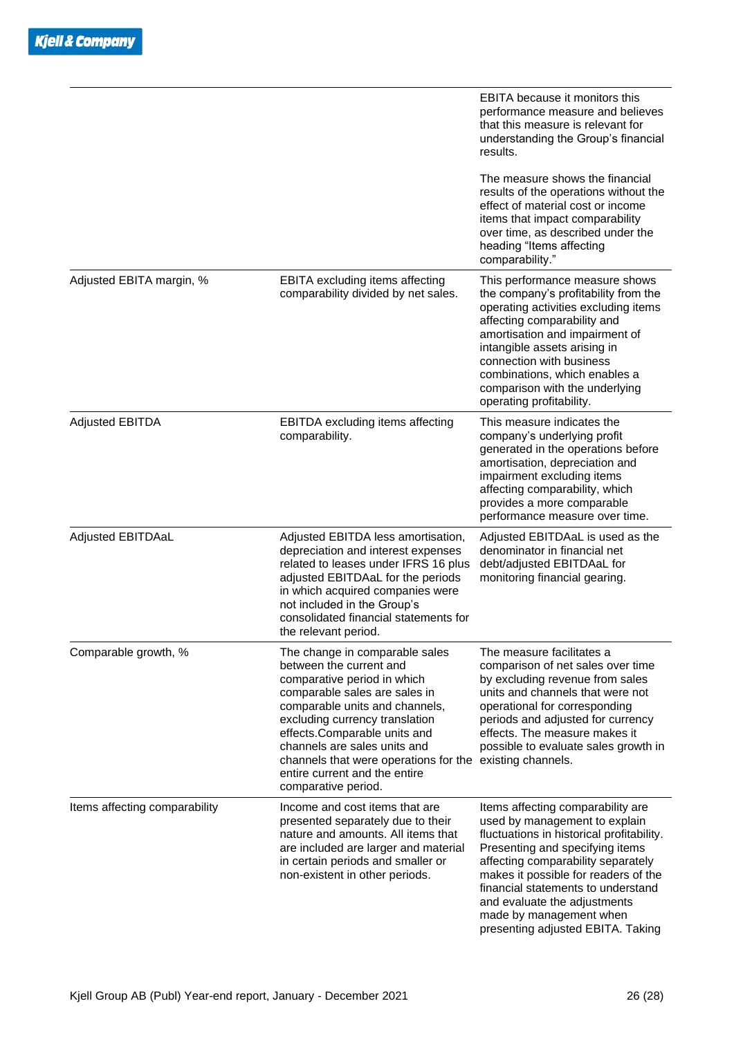|                               |                                                                                                                                                                                                                                                                                                                                                                                   | <b>EBITA</b> because it monitors this<br>performance measure and believes<br>that this measure is relevant for<br>understanding the Group's financial<br>results.<br>The measure shows the financial<br>results of the operations without the<br>effect of material cost or income<br>items that impact comparability<br>over time, as described under the<br>heading "Items affecting<br>comparability." |
|-------------------------------|-----------------------------------------------------------------------------------------------------------------------------------------------------------------------------------------------------------------------------------------------------------------------------------------------------------------------------------------------------------------------------------|-----------------------------------------------------------------------------------------------------------------------------------------------------------------------------------------------------------------------------------------------------------------------------------------------------------------------------------------------------------------------------------------------------------|
| Adjusted EBITA margin, %      | EBITA excluding items affecting<br>comparability divided by net sales.                                                                                                                                                                                                                                                                                                            | This performance measure shows<br>the company's profitability from the<br>operating activities excluding items<br>affecting comparability and<br>amortisation and impairment of<br>intangible assets arising in<br>connection with business<br>combinations, which enables a<br>comparison with the underlying<br>operating profitability.                                                                |
| <b>Adjusted EBITDA</b>        | EBITDA excluding items affecting<br>comparability.                                                                                                                                                                                                                                                                                                                                | This measure indicates the<br>company's underlying profit<br>generated in the operations before<br>amortisation, depreciation and<br>impairment excluding items<br>affecting comparability, which<br>provides a more comparable<br>performance measure over time.                                                                                                                                         |
| Adjusted EBITDAaL             | Adjusted EBITDA less amortisation,<br>depreciation and interest expenses<br>related to leases under IFRS 16 plus<br>adjusted EBITDAaL for the periods<br>in which acquired companies were<br>not included in the Group's<br>consolidated financial statements for<br>the relevant period.                                                                                         | Adjusted EBITDAaL is used as the<br>denominator in financial net<br>debt/adjusted EBITDAaL for<br>monitoring financial gearing.                                                                                                                                                                                                                                                                           |
| Comparable growth, %          | The change in comparable sales<br>between the current and<br>comparative period in which<br>comparable sales are sales in<br>comparable units and channels,<br>excluding currency translation<br>effects.Comparable units and<br>channels are sales units and<br>channels that were operations for the existing channels.<br>entire current and the entire<br>comparative period. | The measure facilitates a<br>comparison of net sales over time<br>by excluding revenue from sales<br>units and channels that were not<br>operational for corresponding<br>periods and adjusted for currency<br>effects. The measure makes it<br>possible to evaluate sales growth in                                                                                                                      |
| Items affecting comparability | Income and cost items that are<br>presented separately due to their<br>nature and amounts. All items that<br>are included are larger and material<br>in certain periods and smaller or<br>non-existent in other periods.                                                                                                                                                          | Items affecting comparability are<br>used by management to explain<br>fluctuations in historical profitability.<br>Presenting and specifying items<br>affecting comparability separately<br>makes it possible for readers of the<br>financial statements to understand<br>and evaluate the adjustments<br>made by management when<br>presenting adjusted EBITA. Taking                                    |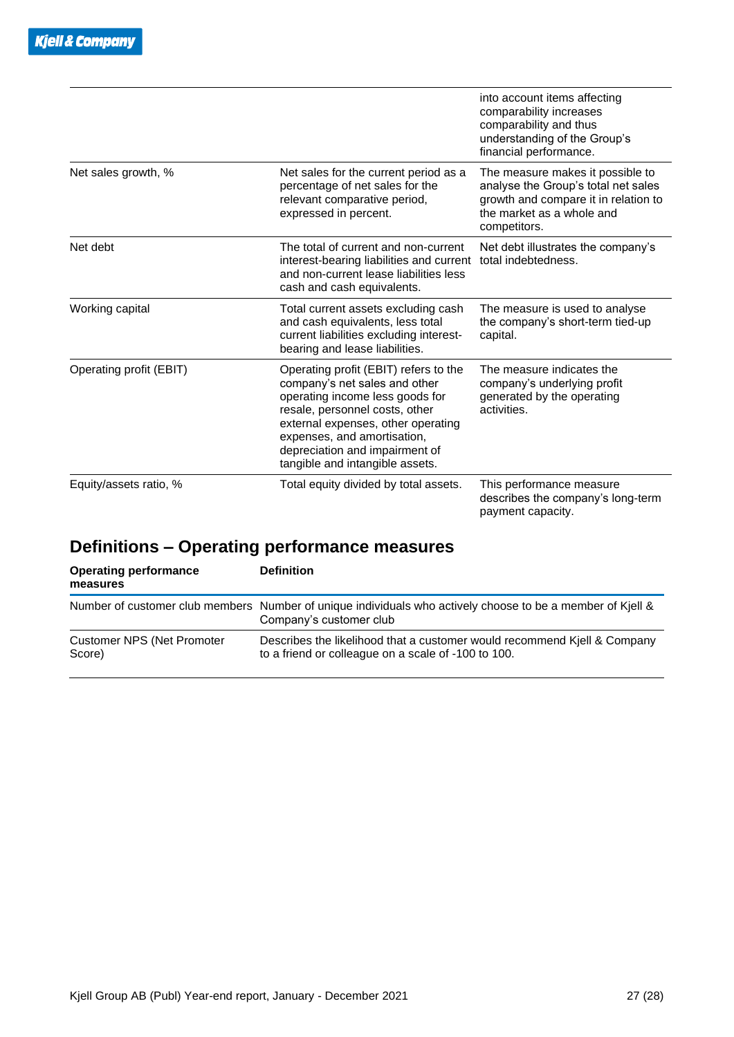|                         |                                                                                                                                                                                                                                                                                       | into account items affecting<br>comparability increases<br>comparability and thus<br>understanding of the Group's<br>financial performance.                  |
|-------------------------|---------------------------------------------------------------------------------------------------------------------------------------------------------------------------------------------------------------------------------------------------------------------------------------|--------------------------------------------------------------------------------------------------------------------------------------------------------------|
| Net sales growth, %     | Net sales for the current period as a<br>percentage of net sales for the<br>relevant comparative period,<br>expressed in percent.                                                                                                                                                     | The measure makes it possible to<br>analyse the Group's total net sales<br>growth and compare it in relation to<br>the market as a whole and<br>competitors. |
| Net debt                | The total of current and non-current<br>interest-bearing liabilities and current<br>and non-current lease liabilities less<br>cash and cash equivalents.                                                                                                                              | Net debt illustrates the company's<br>total indebtedness.                                                                                                    |
| Working capital         | Total current assets excluding cash<br>and cash equivalents, less total<br>current liabilities excluding interest-<br>bearing and lease liabilities.                                                                                                                                  | The measure is used to analyse<br>the company's short-term tied-up<br>capital.                                                                               |
| Operating profit (EBIT) | Operating profit (EBIT) refers to the<br>company's net sales and other<br>operating income less goods for<br>resale, personnel costs, other<br>external expenses, other operating<br>expenses, and amortisation,<br>depreciation and impairment of<br>tangible and intangible assets. | The measure indicates the<br>company's underlying profit<br>generated by the operating<br>activities.                                                        |
| Equity/assets ratio, %  | Total equity divided by total assets.                                                                                                                                                                                                                                                 | This performance measure<br>describes the company's long-term<br>payment capacity.                                                                           |

## **Definitions – Operating performance measures**

| <b>Operating performance</b><br>measures | <b>Definition</b>                                                                                                                     |
|------------------------------------------|---------------------------------------------------------------------------------------------------------------------------------------|
|                                          | Number of customer club members Number of unique individuals who actively choose to be a member of Kjell &<br>Company's customer club |
| Customer NPS (Net Promoter<br>Score)     | Describes the likelihood that a customer would recommend Kjell & Company<br>to a friend or colleague on a scale of -100 to 100.       |